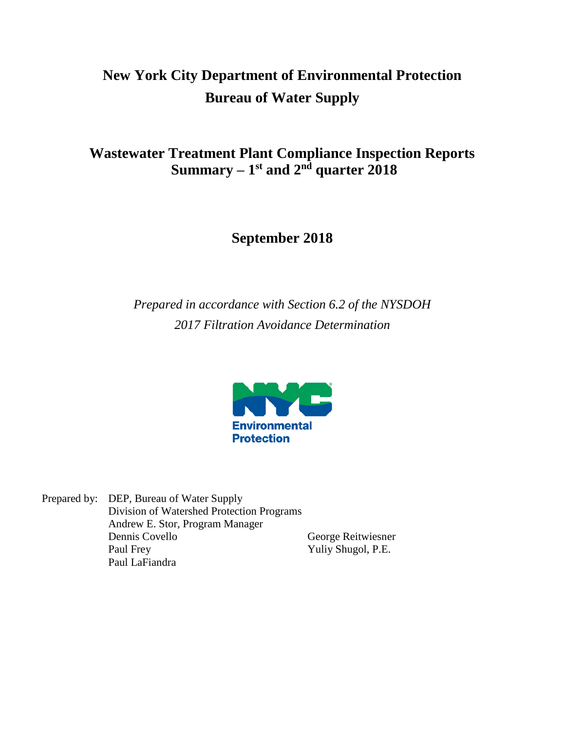# **New York City Department of Environmental Protection Bureau of Water Supply**

**Wastewater Treatment Plant Compliance Inspection Reports Summary – 1 st and 2 nd quarter 2018**

# **September 2018**

# *Prepared in accordance with Section 6.2 of the NYSDOH 2017 Filtration Avoidance Determination*



Prepared by: DEP, Bureau of Water Supply Division of Watershed Protection Programs Andrew E. Stor, Program Manager Dennis Covello George Reitwiesner Paul Frey Yuliy Shugol, P.E. Paul LaFiandra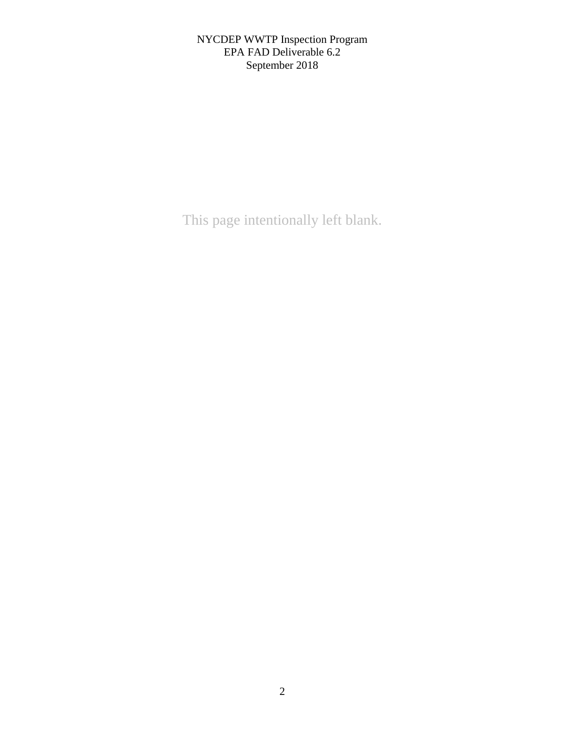This page intentionally left blank.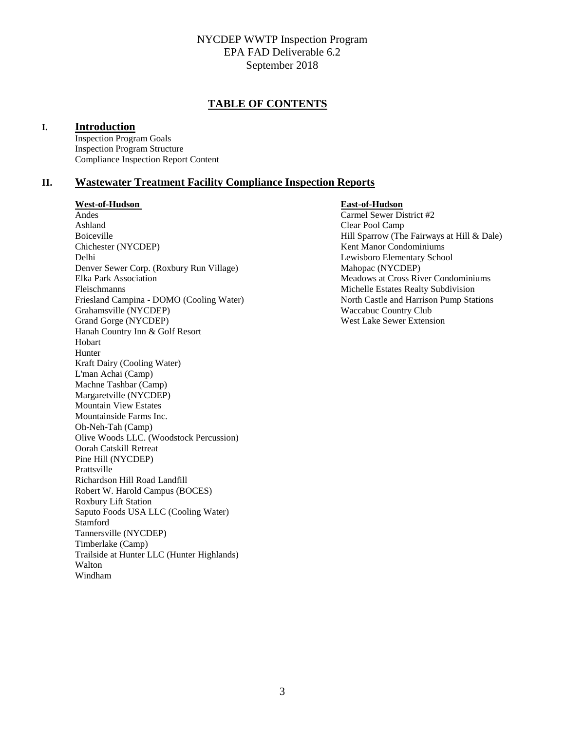## **TABLE OF CONTENTS**

#### **I. Introduction**

Inspection Program Goals Inspection Program Structure Compliance Inspection Report Content

#### **II. Wastewater Treatment Facility Compliance Inspection Reports**

#### **West-of-Hudson East-of-Hudson**

Ashland Clear Pool Camp Boiceville **Hill Sparrow** (The Fairways at Hill & Dale) Chichester (NYCDEP) Kent Manor Condominiums Delhi Lewisboro Elementary School Denver Sewer Corp. (Roxbury Run Village) Mahopac (NYCDEP) Elka Park Association **Meadows at Cross River Condominiums** Meadows at Cross River Condominiums Fleischmanns Michelle Estates Realty Subdivision Friesland Campina - DOMO (Cooling Water) North Castle and Harrison Pump Stations Grahamsville (NYCDEP) Waccabuc Country Club<br>Grand Gorge (NYCDEP) West Lake Sewer Extens Hanah Country Inn & Golf Resort Hobart Hunter Kraft Dairy (Cooling Water) L'man Achai (Camp) Machne Tashbar (Camp) Margaretville (NYCDEP) Mountain View Estates Mountainside Farms Inc. Oh-Neh-Tah (Camp) Olive Woods LLC. (Woodstock Percussion) Oorah Catskill Retreat Pine Hill (NYCDEP) Prattsville Richardson Hill Road Landfill Robert W. Harold Campus (BOCES) Roxbury Lift Station Saputo Foods USA LLC (Cooling Water) Stamford Tannersville (NYCDEP) Timberlake (Camp) Trailside at Hunter LLC (Hunter Highlands) Walton Windham

Andes Carmel Sewer District #2 West Lake Sewer Extension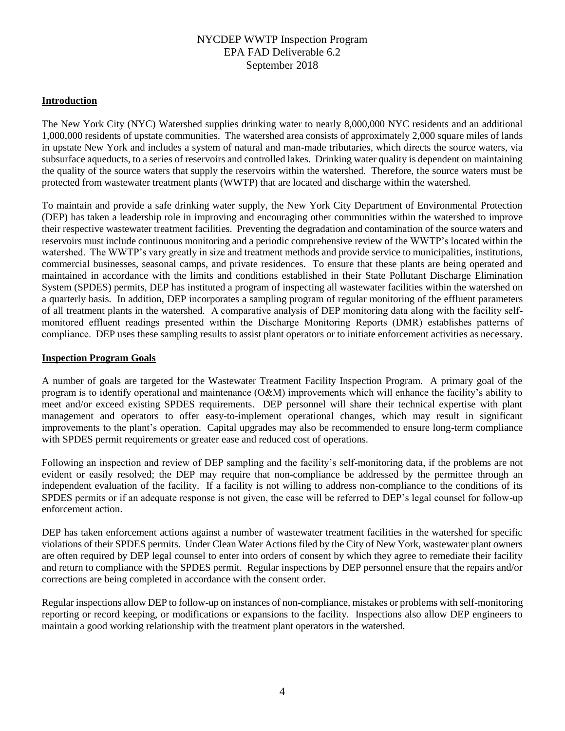## **Introduction**

The New York City (NYC) Watershed supplies drinking water to nearly 8,000,000 NYC residents and an additional 1,000,000 residents of upstate communities. The watershed area consists of approximately 2,000 square miles of lands in upstate New York and includes a system of natural and man-made tributaries, which directs the source waters, via subsurface aqueducts, to a series of reservoirs and controlled lakes. Drinking water quality is dependent on maintaining the quality of the source waters that supply the reservoirs within the watershed. Therefore, the source waters must be protected from wastewater treatment plants (WWTP) that are located and discharge within the watershed.

To maintain and provide a safe drinking water supply, the New York City Department of Environmental Protection (DEP) has taken a leadership role in improving and encouraging other communities within the watershed to improve their respective wastewater treatment facilities. Preventing the degradation and contamination of the source waters and reservoirs must include continuous monitoring and a periodic comprehensive review of the WWTP's located within the watershed. The WWTP's vary greatly in size and treatment methods and provide service to municipalities, institutions, commercial businesses, seasonal camps, and private residences. To ensure that these plants are being operated and maintained in accordance with the limits and conditions established in their State Pollutant Discharge Elimination System (SPDES) permits, DEP has instituted a program of inspecting all wastewater facilities within the watershed on a quarterly basis. In addition, DEP incorporates a sampling program of regular monitoring of the effluent parameters of all treatment plants in the watershed. A comparative analysis of DEP monitoring data along with the facility selfmonitored effluent readings presented within the Discharge Monitoring Reports (DMR) establishes patterns of compliance. DEP uses these sampling results to assist plant operators or to initiate enforcement activities as necessary.

## **Inspection Program Goals**

A number of goals are targeted for the Wastewater Treatment Facility Inspection Program. A primary goal of the program is to identify operational and maintenance (O&M) improvements which will enhance the facility's ability to meet and/or exceed existing SPDES requirements. DEP personnel will share their technical expertise with plant management and operators to offer easy-to-implement operational changes, which may result in significant improvements to the plant's operation. Capital upgrades may also be recommended to ensure long-term compliance with SPDES permit requirements or greater ease and reduced cost of operations.

Following an inspection and review of DEP sampling and the facility's self-monitoring data, if the problems are not evident or easily resolved; the DEP may require that non-compliance be addressed by the permittee through an independent evaluation of the facility. If a facility is not willing to address non-compliance to the conditions of its SPDES permits or if an adequate response is not given, the case will be referred to DEP's legal counsel for follow-up enforcement action.

DEP has taken enforcement actions against a number of wastewater treatment facilities in the watershed for specific violations of their SPDES permits. Under Clean Water Actions filed by the City of New York, wastewater plant owners are often required by DEP legal counsel to enter into orders of consent by which they agree to remediate their facility and return to compliance with the SPDES permit. Regular inspections by DEP personnel ensure that the repairs and/or corrections are being completed in accordance with the consent order.

Regular inspections allow DEP to follow-up on instances of non-compliance, mistakes or problems with self-monitoring reporting or record keeping, or modifications or expansions to the facility. Inspections also allow DEP engineers to maintain a good working relationship with the treatment plant operators in the watershed.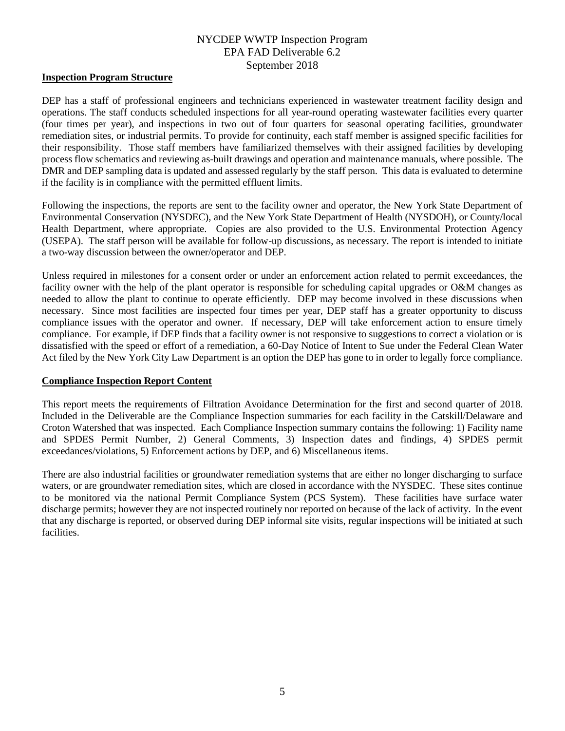#### **Inspection Program Structure**

DEP has a staff of professional engineers and technicians experienced in wastewater treatment facility design and operations. The staff conducts scheduled inspections for all year-round operating wastewater facilities every quarter (four times per year), and inspections in two out of four quarters for seasonal operating facilities, groundwater remediation sites, or industrial permits. To provide for continuity, each staff member is assigned specific facilities for their responsibility. Those staff members have familiarized themselves with their assigned facilities by developing process flow schematics and reviewing as-built drawings and operation and maintenance manuals, where possible. The DMR and DEP sampling data is updated and assessed regularly by the staff person. This data is evaluated to determine if the facility is in compliance with the permitted effluent limits.

Following the inspections, the reports are sent to the facility owner and operator, the New York State Department of Environmental Conservation (NYSDEC), and the New York State Department of Health (NYSDOH), or County/local Health Department, where appropriate. Copies are also provided to the U.S. Environmental Protection Agency (USEPA). The staff person will be available for follow-up discussions, as necessary. The report is intended to initiate a two-way discussion between the owner/operator and DEP.

Unless required in milestones for a consent order or under an enforcement action related to permit exceedances, the facility owner with the help of the plant operator is responsible for scheduling capital upgrades or O&M changes as needed to allow the plant to continue to operate efficiently. DEP may become involved in these discussions when necessary. Since most facilities are inspected four times per year, DEP staff has a greater opportunity to discuss compliance issues with the operator and owner. If necessary, DEP will take enforcement action to ensure timely compliance. For example, if DEP finds that a facility owner is not responsive to suggestions to correct a violation or is dissatisfied with the speed or effort of a remediation, a 60-Day Notice of Intent to Sue under the Federal Clean Water Act filed by the New York City Law Department is an option the DEP has gone to in order to legally force compliance.

## **Compliance Inspection Report Content**

This report meets the requirements of Filtration Avoidance Determination for the first and second quarter of 2018. Included in the Deliverable are the Compliance Inspection summaries for each facility in the Catskill/Delaware and Croton Watershed that was inspected. Each Compliance Inspection summary contains the following: 1) Facility name and SPDES Permit Number, 2) General Comments, 3) Inspection dates and findings, 4) SPDES permit exceedances/violations, 5) Enforcement actions by DEP, and 6) Miscellaneous items.

There are also industrial facilities or groundwater remediation systems that are either no longer discharging to surface waters, or are groundwater remediation sites, which are closed in accordance with the NYSDEC. These sites continue to be monitored via the national Permit Compliance System (PCS System). These facilities have surface water discharge permits; however they are not inspected routinely nor reported on because of the lack of activity. In the event that any discharge is reported, or observed during DEP informal site visits, regular inspections will be initiated at such facilities.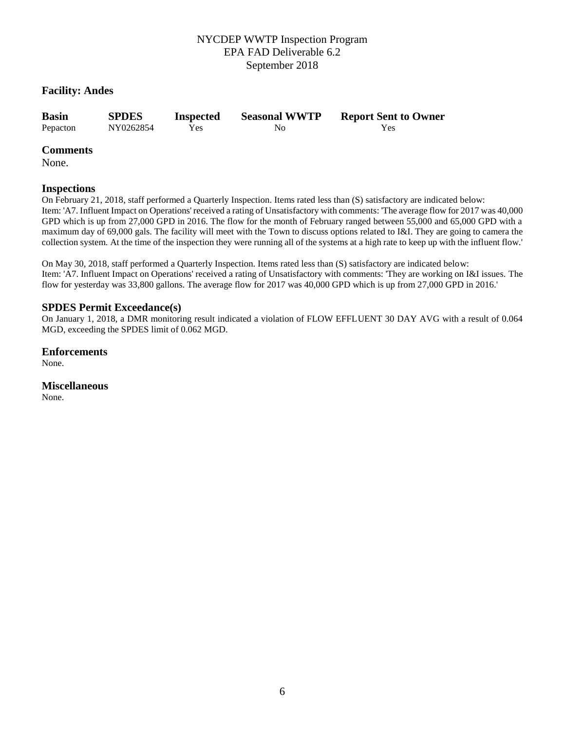## **Facility: Andes**

| <b>Basin</b> | <b>SPDES</b> | <b>Inspected</b> | <b>Seasonal WWTP</b> | <b>Report Sent to Owner</b> |
|--------------|--------------|------------------|----------------------|-----------------------------|
| Pepacton     | NY0262854    | Yes              | No                   | Yes                         |

#### **Comments**

None.

## **Inspections**

On February 21, 2018, staff performed a Quarterly Inspection. Items rated less than (S) satisfactory are indicated below: Item: 'A7. Influent Impact on Operations' received a rating of Unsatisfactory with comments: 'The average flow for 2017 was 40,000 GPD which is up from 27,000 GPD in 2016. The flow for the month of February ranged between 55,000 and 65,000 GPD with a maximum day of 69,000 gals. The facility will meet with the Town to discuss options related to I&I. They are going to camera the collection system. At the time of the inspection they were running all of the systems at a high rate to keep up with the influent flow.'

On May 30, 2018, staff performed a Quarterly Inspection. Items rated less than (S) satisfactory are indicated below: Item: 'A7. Influent Impact on Operations' received a rating of Unsatisfactory with comments: 'They are working on I&I issues. The flow for yesterday was 33,800 gallons. The average flow for 2017 was 40,000 GPD which is up from 27,000 GPD in 2016.'

#### **SPDES Permit Exceedance(s)**

On January 1, 2018, a DMR monitoring result indicated a violation of FLOW EFFLUENT 30 DAY AVG with a result of 0.064 MGD, exceeding the SPDES limit of 0.062 MGD.

#### **Enforcements**

None.

**Miscellaneous**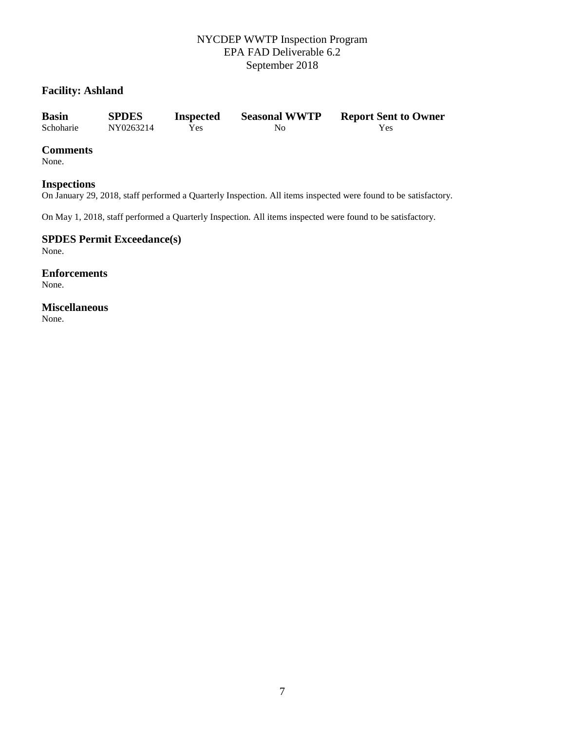## **Facility: Ashland**

| <b>Basin</b> | <b>SPDES</b> | <b>Inspected</b> | <b>Seasonal WWTP</b> | <b>Report Sent to Owner</b> |
|--------------|--------------|------------------|----------------------|-----------------------------|
| Schoharie    | NY0263214    | Yes              | No                   | Yes                         |

#### **Comments**

None.

#### **Inspections**

On January 29, 2018, staff performed a Quarterly Inspection. All items inspected were found to be satisfactory.

On May 1, 2018, staff performed a Quarterly Inspection. All items inspected were found to be satisfactory.

#### **SPDES Permit Exceedance(s)** None.

**Enforcements** None.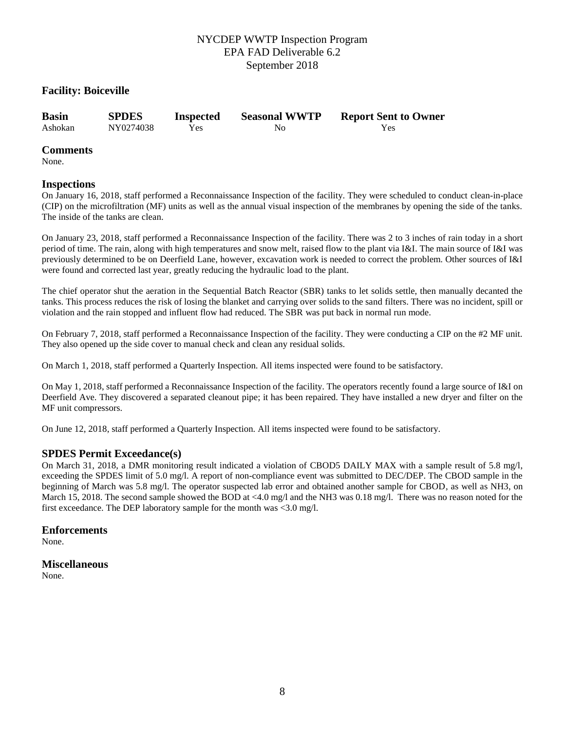## **Facility: Boiceville**

| <b>Basin</b> | <b>SPDES</b> | <b>Inspected</b> | <b>Seasonal WWTP</b> | <b>Report Sent to Owner</b> |
|--------------|--------------|------------------|----------------------|-----------------------------|
| Ashokan      | NY0274038    | Yes              | No                   | Yes                         |

#### **Comments**

None.

#### **Inspections**

On January 16, 2018, staff performed a Reconnaissance Inspection of the facility. They were scheduled to conduct clean-in-place (CIP) on the microfiltration (MF) units as well as the annual visual inspection of the membranes by opening the side of the tanks. The inside of the tanks are clean.

On January 23, 2018, staff performed a Reconnaissance Inspection of the facility. There was 2 to 3 inches of rain today in a short period of time. The rain, along with high temperatures and snow melt, raised flow to the plant via I&I. The main source of I&I was previously determined to be on Deerfield Lane, however, excavation work is needed to correct the problem. Other sources of I&I were found and corrected last year, greatly reducing the hydraulic load to the plant.

The chief operator shut the aeration in the Sequential Batch Reactor (SBR) tanks to let solids settle, then manually decanted the tanks. This process reduces the risk of losing the blanket and carrying over solids to the sand filters. There was no incident, spill or violation and the rain stopped and influent flow had reduced. The SBR was put back in normal run mode.

On February 7, 2018, staff performed a Reconnaissance Inspection of the facility. They were conducting a CIP on the #2 MF unit. They also opened up the side cover to manual check and clean any residual solids.

On March 1, 2018, staff performed a Quarterly Inspection. All items inspected were found to be satisfactory.

On May 1, 2018, staff performed a Reconnaissance Inspection of the facility. The operators recently found a large source of I&I on Deerfield Ave. They discovered a separated cleanout pipe; it has been repaired. They have installed a new dryer and filter on the MF unit compressors.

On June 12, 2018, staff performed a Quarterly Inspection. All items inspected were found to be satisfactory.

## **SPDES Permit Exceedance(s)**

On March 31, 2018, a DMR monitoring result indicated a violation of CBOD5 DAILY MAX with a sample result of 5.8 mg/l, exceeding the SPDES limit of 5.0 mg/l. A report of non-compliance event was submitted to DEC/DEP. The CBOD sample in the beginning of March was 5.8 mg/l. The operator suspected lab error and obtained another sample for CBOD, as well as NH3, on March 15, 2018. The second sample showed the BOD at <4.0 mg/l and the NH3 was 0.18 mg/l. There was no reason noted for the first exceedance. The DEP laboratory sample for the month was <3.0 mg/l.

#### **Enforcements**

None.

## **Miscellaneous**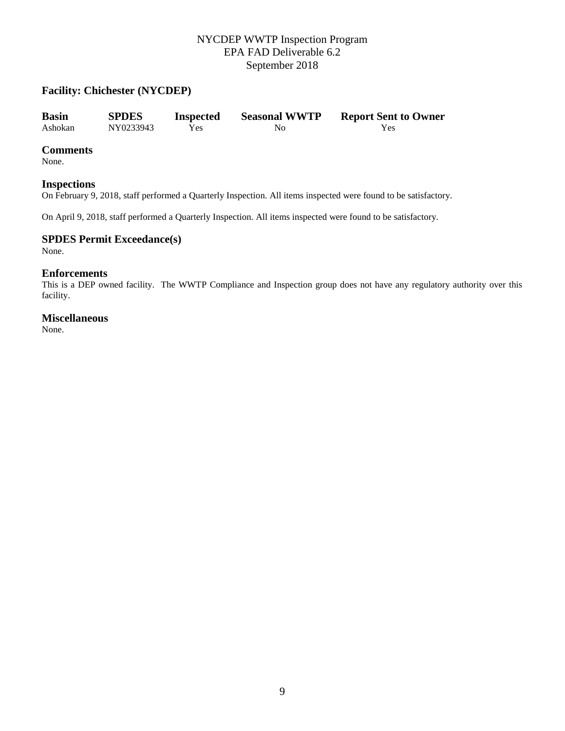## **Facility: Chichester (NYCDEP)**

| <b>Basin</b> | <b>SPDES</b> | <b>Inspected</b> | <b>Seasonal WWTP</b> | <b>Report Sent to Owner</b> |
|--------------|--------------|------------------|----------------------|-----------------------------|
| Ashokan      | NY0233943    | Yes              | No.                  | Yes                         |

#### **Comments**

None.

#### **Inspections**

On February 9, 2018, staff performed a Quarterly Inspection. All items inspected were found to be satisfactory.

On April 9, 2018, staff performed a Quarterly Inspection. All items inspected were found to be satisfactory.

## **SPDES Permit Exceedance(s)**

None.

#### **Enforcements**

This is a DEP owned facility. The WWTP Compliance and Inspection group does not have any regulatory authority over this facility.

## **Miscellaneous**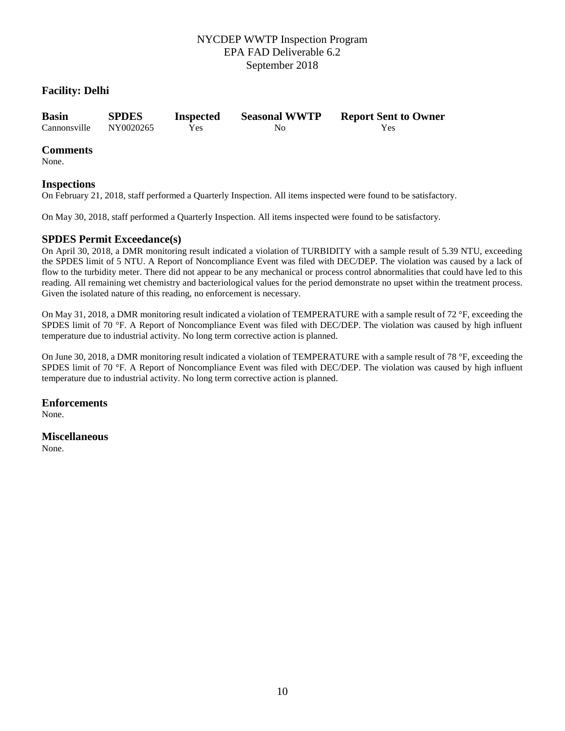## **Facility: Delhi**

| <b>Basin</b> | <b>SPDES</b> | <b>Inspected</b> | <b>Seasonal WWTP</b> | <b>Report Sent to Owner</b> |
|--------------|--------------|------------------|----------------------|-----------------------------|
| Cannonsville | NY0020265    | Yes              | No.                  | Yes                         |

## **Comments**

None.

## **Inspections**

On February 21, 2018, staff performed a Quarterly Inspection. All items inspected were found to be satisfactory.

On May 30, 2018, staff performed a Quarterly Inspection. All items inspected were found to be satisfactory.

## **SPDES Permit Exceedance(s)**

On April 30, 2018, a DMR monitoring result indicated a violation of TURBIDITY with a sample result of 5.39 NTU, exceeding the SPDES limit of 5 NTU. A Report of Noncompliance Event was filed with DEC/DEP. The violation was caused by a lack of flow to the turbidity meter. There did not appear to be any mechanical or process control abnormalities that could have led to this reading. All remaining wet chemistry and bacteriological values for the period demonstrate no upset within the treatment process. Given the isolated nature of this reading, no enforcement is necessary.

On May 31, 2018, a DMR monitoring result indicated a violation of TEMPERATURE with a sample result of 72 °F, exceeding the SPDES limit of 70 °F. A Report of Noncompliance Event was filed with DEC/DEP. The violation was caused by high influent temperature due to industrial activity. No long term corrective action is planned.

On June 30, 2018, a DMR monitoring result indicated a violation of TEMPERATURE with a sample result of 78 °F, exceeding the SPDES limit of 70 °F. A Report of Noncompliance Event was filed with DEC/DEP. The violation was caused by high influent temperature due to industrial activity. No long term corrective action is planned.

## **Enforcements**

None.

## **Miscellaneous**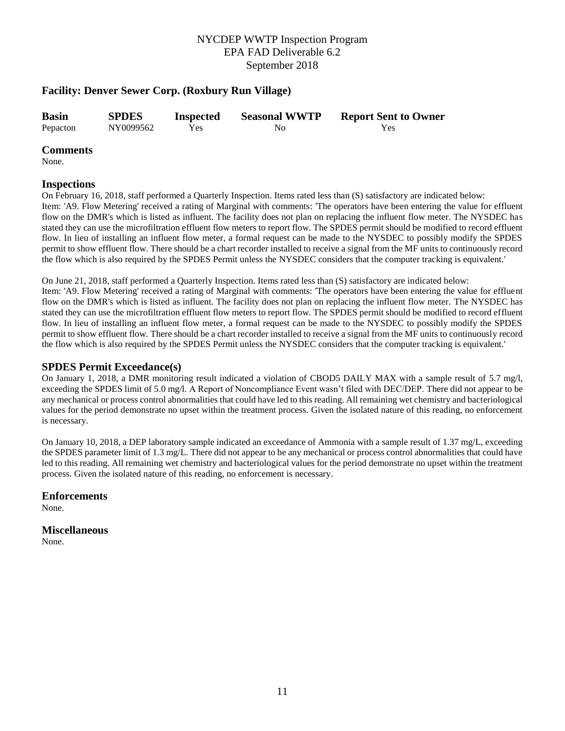## **Facility: Denver Sewer Corp. (Roxbury Run Village)**

| <b>Basin</b> | <b>SPDES</b> | <b>Inspected</b> | <b>Seasonal WWTP</b> | <b>Report Sent to Owner</b> |
|--------------|--------------|------------------|----------------------|-----------------------------|
| Pepacton     | NY0099562    | Yes              | No.                  | Yes                         |

#### **Comments**

None.

## **Inspections**

On February 16, 2018, staff performed a Quarterly Inspection. Items rated less than (S) satisfactory are indicated below: Item: 'A9. Flow Metering' received a rating of Marginal with comments: 'The operators have been entering the value for effluent flow on the DMR's which is listed as influent. The facility does not plan on replacing the influent flow meter. The NYSDEC has stated they can use the microfiltration effluent flow meters to report flow. The SPDES permit should be modified to record effluent flow. In lieu of installing an influent flow meter, a formal request can be made to the NYSDEC to possibly modify the SPDES permit to show effluent flow. There should be a chart recorder installed to receive a signal from the MF units to continuously record the flow which is also required by the SPDES Permit unless the NYSDEC considers that the computer tracking is equivalent.'

On June 21, 2018, staff performed a Quarterly Inspection. Items rated less than (S) satisfactory are indicated below:

Item: 'A9. Flow Metering' received a rating of Marginal with comments: 'The operators have been entering the value for effluent flow on the DMR's which is listed as influent. The facility does not plan on replacing the influent flow meter. The NYSDEC has stated they can use the microfiltration effluent flow meters to report flow. The SPDES permit should be modified to record effluent flow. In lieu of installing an influent flow meter, a formal request can be made to the NYSDEC to possibly modify the SPDES permit to show effluent flow. There should be a chart recorder installed to receive a signal from the MF units to continuously record the flow which is also required by the SPDES Permit unless the NYSDEC considers that the computer tracking is equivalent.'

## **SPDES Permit Exceedance(s)**

On January 1, 2018, a DMR monitoring result indicated a violation of CBOD5 DAILY MAX with a sample result of 5.7 mg/l, exceeding the SPDES limit of 5.0 mg/l. A Report of Noncompliance Event wasn't filed with DEC/DEP. There did not appear to be any mechanical or process control abnormalities that could have led to this reading. All remaining wet chemistry and bacteriological values for the period demonstrate no upset within the treatment process. Given the isolated nature of this reading, no enforcement is necessary.

On January 10, 2018, a DEP laboratory sample indicated an exceedance of Ammonia with a sample result of 1.37 mg/L, exceeding the SPDES parameter limit of 1.3 mg/L. There did not appear to be any mechanical or process control abnormalities that could have led to this reading. All remaining wet chemistry and bacteriological values for the period demonstrate no upset within the treatment process. Given the isolated nature of this reading, no enforcement is necessary.

**Enforcements**

None.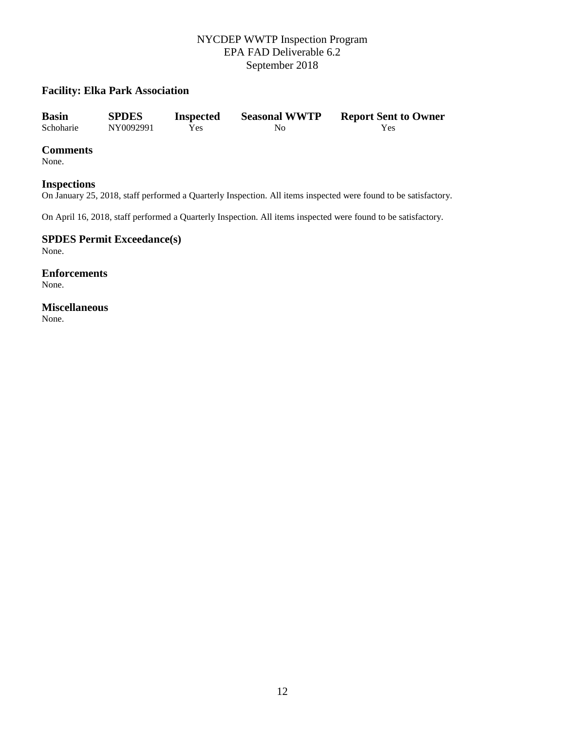## **Facility: Elka Park Association**

| <b>Basin</b> | <b>SPDES</b> | <b>Inspected</b> | <b>Seasonal WWTP</b> | <b>Report Sent to Owner</b> |
|--------------|--------------|------------------|----------------------|-----------------------------|
| Schoharie    | NY0092991    | Yes              | No                   | Yes                         |

#### **Comments**

None.

## **Inspections**

On January 25, 2018, staff performed a Quarterly Inspection. All items inspected were found to be satisfactory.

On April 16, 2018, staff performed a Quarterly Inspection. All items inspected were found to be satisfactory.

**SPDES Permit Exceedance(s)** None.

**Enforcements** None.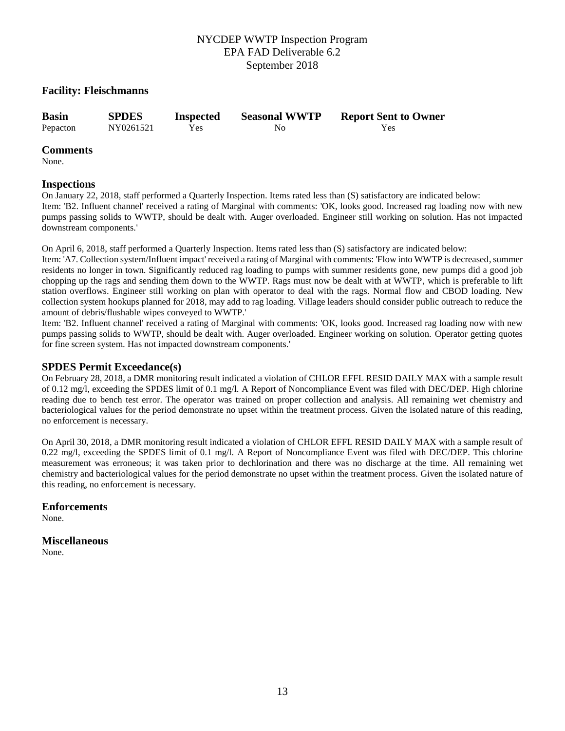## **Facility: Fleischmanns**

| <b>Basin</b> | <b>SPDES</b> | <b>Inspected</b> | <b>Seasonal WWTP</b> | <b>Report Sent to Owner</b> |
|--------------|--------------|------------------|----------------------|-----------------------------|
| Pepacton     | NY0261521    | <b>Yes</b>       | No                   | Yes                         |

## **Comments**

None.

#### **Inspections**

On January 22, 2018, staff performed a Quarterly Inspection. Items rated less than (S) satisfactory are indicated below: Item: 'B2. Influent channel' received a rating of Marginal with comments: 'OK, looks good. Increased rag loading now with new pumps passing solids to WWTP, should be dealt with. Auger overloaded. Engineer still working on solution. Has not impacted downstream components.'

On April 6, 2018, staff performed a Quarterly Inspection. Items rated less than (S) satisfactory are indicated below:

Item: 'A7. Collection system/Influent impact' received a rating of Marginal with comments: 'Flow into WWTP is decreased, summer residents no longer in town. Significantly reduced rag loading to pumps with summer residents gone, new pumps did a good job chopping up the rags and sending them down to the WWTP. Rags must now be dealt with at WWTP, which is preferable to lift station overflows. Engineer still working on plan with operator to deal with the rags. Normal flow and CBOD loading. New collection system hookups planned for 2018, may add to rag loading. Village leaders should consider public outreach to reduce the amount of debris/flushable wipes conveyed to WWTP.'

Item: 'B2. Influent channel' received a rating of Marginal with comments: 'OK, looks good. Increased rag loading now with new pumps passing solids to WWTP, should be dealt with. Auger overloaded. Engineer working on solution. Operator getting quotes for fine screen system. Has not impacted downstream components.'

## **SPDES Permit Exceedance(s)**

On February 28, 2018, a DMR monitoring result indicated a violation of CHLOR EFFL RESID DAILY MAX with a sample result of 0.12 mg/l, exceeding the SPDES limit of 0.1 mg/l. A Report of Noncompliance Event was filed with DEC/DEP. High chlorine reading due to bench test error. The operator was trained on proper collection and analysis. All remaining wet chemistry and bacteriological values for the period demonstrate no upset within the treatment process. Given the isolated nature of this reading, no enforcement is necessary.

On April 30, 2018, a DMR monitoring result indicated a violation of CHLOR EFFL RESID DAILY MAX with a sample result of 0.22 mg/l, exceeding the SPDES limit of 0.1 mg/l. A Report of Noncompliance Event was filed with DEC/DEP. This chlorine measurement was erroneous; it was taken prior to dechlorination and there was no discharge at the time. All remaining wet chemistry and bacteriological values for the period demonstrate no upset within the treatment process. Given the isolated nature of this reading, no enforcement is necessary.

**Enforcements** None.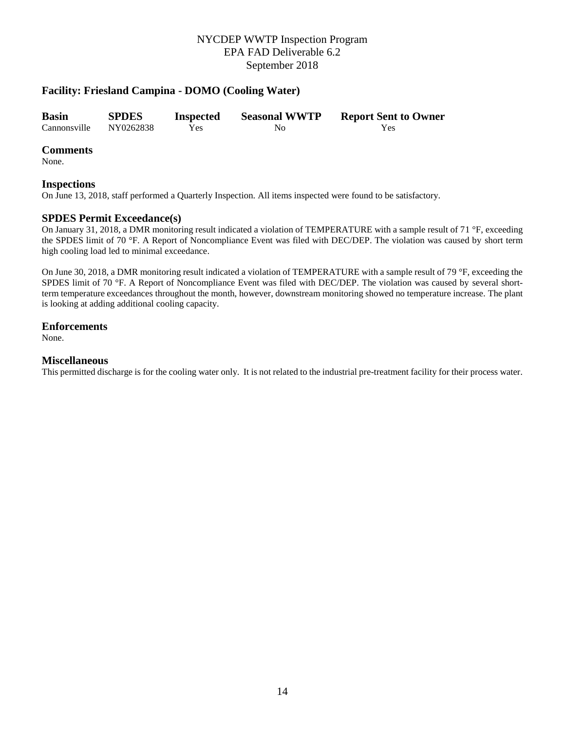## **Facility: Friesland Campina - DOMO (Cooling Water)**

| <b>Basin</b> | <b>SPDES</b> | <b>Inspected</b> | <b>Seasonal WWTP</b> | <b>Report Sent to Owner</b> |
|--------------|--------------|------------------|----------------------|-----------------------------|
| Cannonsville | NY0262838    | Yes              | No                   | Yes                         |

#### **Comments**

None.

## **Inspections**

On June 13, 2018, staff performed a Quarterly Inspection. All items inspected were found to be satisfactory.

## **SPDES Permit Exceedance(s)**

On January 31, 2018, a DMR monitoring result indicated a violation of TEMPERATURE with a sample result of 71 °F, exceeding the SPDES limit of 70 °F. A Report of Noncompliance Event was filed with DEC/DEP. The violation was caused by short term high cooling load led to minimal exceedance.

On June 30, 2018, a DMR monitoring result indicated a violation of TEMPERATURE with a sample result of 79 °F, exceeding the SPDES limit of 70 °F. A Report of Noncompliance Event was filed with DEC/DEP. The violation was caused by several shortterm temperature exceedances throughout the month, however, downstream monitoring showed no temperature increase. The plant is looking at adding additional cooling capacity.

#### **Enforcements**

None.

## **Miscellaneous**

This permitted discharge is for the cooling water only. It is not related to the industrial pre-treatment facility for their process water.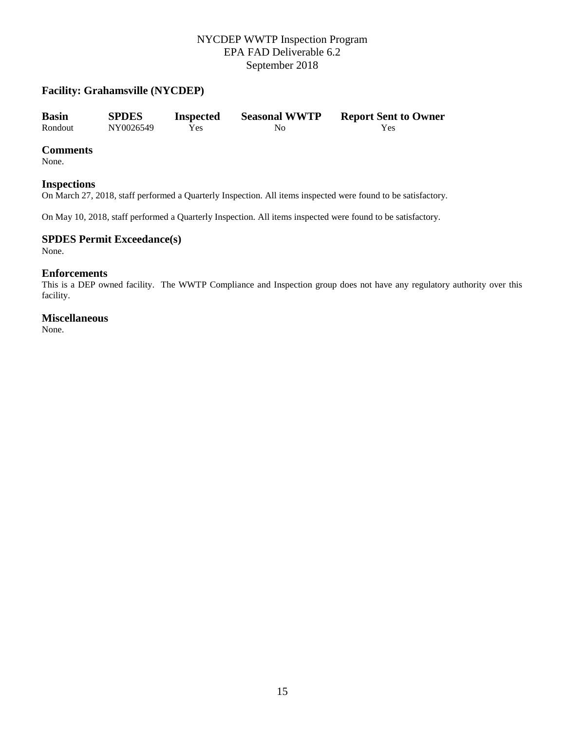## **Facility: Grahamsville (NYCDEP)**

| <b>Basin</b> | <b>SPDES</b> | <b>Inspected</b> | <b>Seasonal WWTP</b> | <b>Report Sent to Owner</b> |
|--------------|--------------|------------------|----------------------|-----------------------------|
| Rondout      | NY0026549    | Yes              | No                   | Yes                         |

#### **Comments**

None.

#### **Inspections**

On March 27, 2018, staff performed a Quarterly Inspection. All items inspected were found to be satisfactory.

On May 10, 2018, staff performed a Quarterly Inspection. All items inspected were found to be satisfactory.

## **SPDES Permit Exceedance(s)**

None.

#### **Enforcements**

This is a DEP owned facility. The WWTP Compliance and Inspection group does not have any regulatory authority over this facility.

## **Miscellaneous**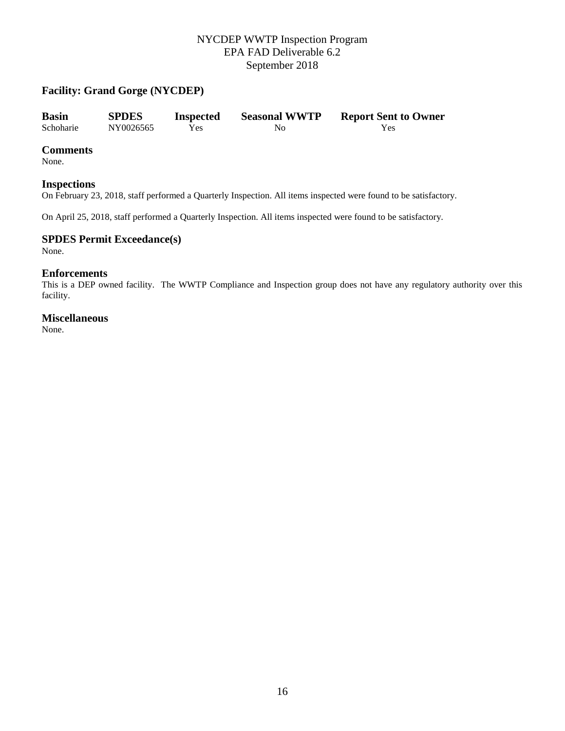## **Facility: Grand Gorge (NYCDEP)**

| <b>Basin</b> | <b>SPDES</b> | <b>Inspected</b> | <b>Seasonal WWTP</b> | <b>Report Sent to Owner</b> |
|--------------|--------------|------------------|----------------------|-----------------------------|
| Schoharie    | NY0026565    | Yes              | No                   | Yes                         |

## **Comments**

None.

#### **Inspections**

On February 23, 2018, staff performed a Quarterly Inspection. All items inspected were found to be satisfactory.

On April 25, 2018, staff performed a Quarterly Inspection. All items inspected were found to be satisfactory.

## **SPDES Permit Exceedance(s)**

None.

#### **Enforcements**

This is a DEP owned facility. The WWTP Compliance and Inspection group does not have any regulatory authority over this facility.

## **Miscellaneous**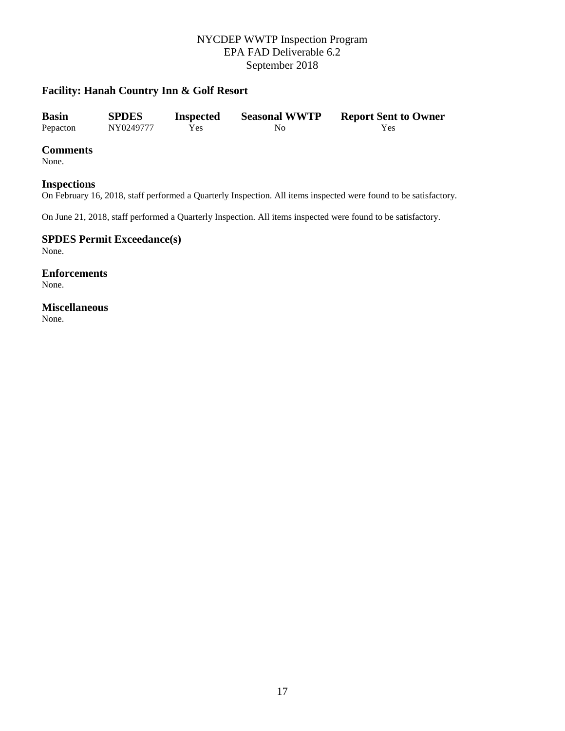## **Facility: Hanah Country Inn & Golf Resort**

| <b>Basin</b> | <b>SPDES</b> | <b>Inspected</b> | <b>Seasonal WWTP</b> | <b>Report Sent to Owner</b> |
|--------------|--------------|------------------|----------------------|-----------------------------|
| Pepacton     | NY0249777    | Yes              | No                   | Yes.                        |

#### **Comments**

None.

#### **Inspections**

On February 16, 2018, staff performed a Quarterly Inspection. All items inspected were found to be satisfactory.

On June 21, 2018, staff performed a Quarterly Inspection. All items inspected were found to be satisfactory.

#### **SPDES Permit Exceedance(s)** None.

**Enforcements**

None.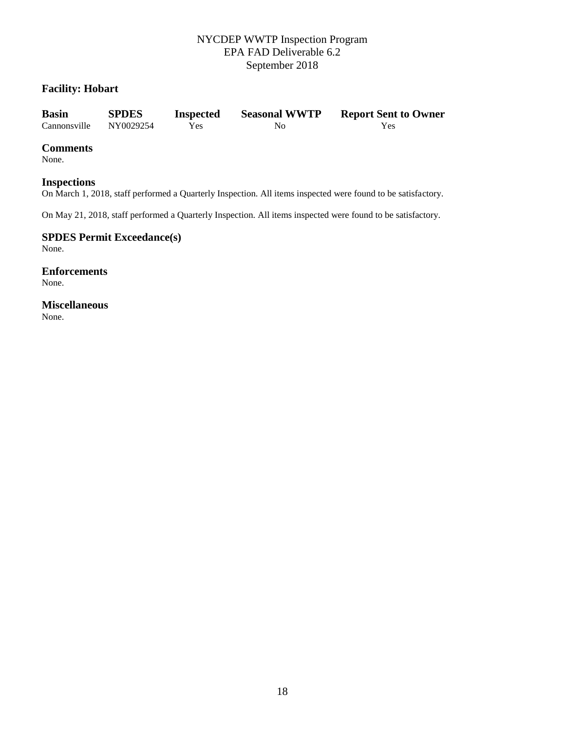## **Facility: Hobart**

| <b>Basin</b>           | <b>SPDES</b> | <b>Inspected</b> | <b>Seasonal WWTP</b> | <b>Report Sent to Owner</b> |
|------------------------|--------------|------------------|----------------------|-----------------------------|
| Cannonsville NY0029254 |              | <b>Yes</b>       | No                   | Yes                         |

## **Comments**

None.

## **Inspections**

On March 1, 2018, staff performed a Quarterly Inspection. All items inspected were found to be satisfactory.

On May 21, 2018, staff performed a Quarterly Inspection. All items inspected were found to be satisfactory.

**SPDES Permit Exceedance(s)** None.

**Enforcements** None.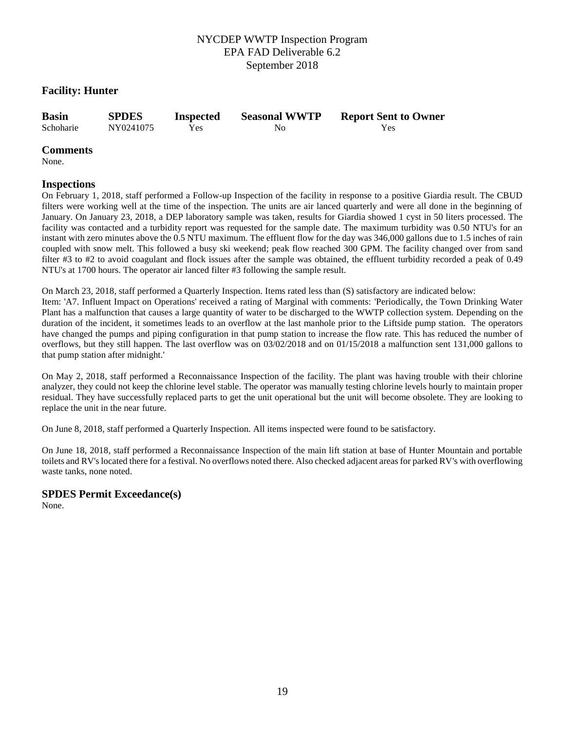## **Facility: Hunter**

| <b>Basin</b> | <b>SPDES</b> | <b>Inspected</b> | <b>Seasonal WWTP</b> | <b>Report Sent to Owner</b> |
|--------------|--------------|------------------|----------------------|-----------------------------|
| Schoharie    | NY0241075    | Yes.             | No                   | Yes                         |

#### **Comments**

None.

#### **Inspections**

On February 1, 2018, staff performed a Follow-up Inspection of the facility in response to a positive Giardia result. The CBUD filters were working well at the time of the inspection. The units are air lanced quarterly and were all done in the beginning of January. On January 23, 2018, a DEP laboratory sample was taken, results for Giardia showed 1 cyst in 50 liters processed. The facility was contacted and a turbidity report was requested for the sample date. The maximum turbidity was 0.50 NTU's for an instant with zero minutes above the 0.5 NTU maximum. The effluent flow for the day was 346,000 gallons due to 1.5 inches of rain coupled with snow melt. This followed a busy ski weekend; peak flow reached 300 GPM. The facility changed over from sand filter #3 to #2 to avoid coagulant and flock issues after the sample was obtained, the effluent turbidity recorded a peak of 0.49 NTU's at 1700 hours. The operator air lanced filter #3 following the sample result.

On March 23, 2018, staff performed a Quarterly Inspection. Items rated less than (S) satisfactory are indicated below: Item: 'A7. Influent Impact on Operations' received a rating of Marginal with comments: 'Periodically, the Town Drinking Water Plant has a malfunction that causes a large quantity of water to be discharged to the WWTP collection system. Depending on the duration of the incident, it sometimes leads to an overflow at the last manhole prior to the Liftside pump station. The operators have changed the pumps and piping configuration in that pump station to increase the flow rate. This has reduced the number of overflows, but they still happen. The last overflow was on 03/02/2018 and on 01/15/2018 a malfunction sent 131,000 gallons to that pump station after midnight.'

On May 2, 2018, staff performed a Reconnaissance Inspection of the facility. The plant was having trouble with their chlorine analyzer, they could not keep the chlorine level stable. The operator was manually testing chlorine levels hourly to maintain proper residual. They have successfully replaced parts to get the unit operational but the unit will become obsolete. They are looking to replace the unit in the near future.

On June 8, 2018, staff performed a Quarterly Inspection. All items inspected were found to be satisfactory.

On June 18, 2018, staff performed a Reconnaissance Inspection of the main lift station at base of Hunter Mountain and portable toilets and RV's located there for a festival. No overflows noted there. Also checked adjacent areas for parked RV's with overflowing waste tanks, none noted.

## **SPDES Permit Exceedance(s)**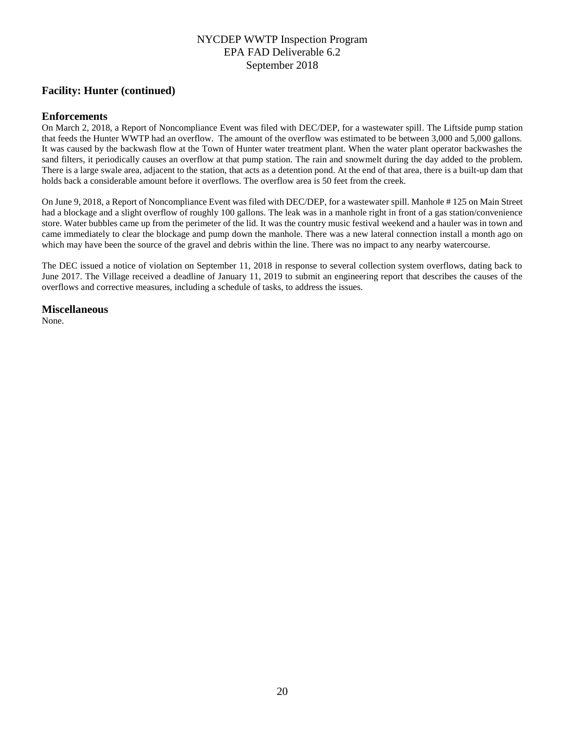## **Facility: Hunter (continued)**

## **Enforcements**

On March 2, 2018, a Report of Noncompliance Event was filed with DEC/DEP, for a wastewater spill. The Liftside pump station that feeds the Hunter WWTP had an overflow. The amount of the overflow was estimated to be between 3,000 and 5,000 gallons. It was caused by the backwash flow at the Town of Hunter water treatment plant. When the water plant operator backwashes the sand filters, it periodically causes an overflow at that pump station. The rain and snowmelt during the day added to the problem. There is a large swale area, adjacent to the station, that acts as a detention pond. At the end of that area, there is a built-up dam that holds back a considerable amount before it overflows. The overflow area is 50 feet from the creek.

On June 9, 2018, a Report of Noncompliance Event was filed with DEC/DEP, for a wastewater spill. Manhole # 125 on Main Street had a blockage and a slight overflow of roughly 100 gallons. The leak was in a manhole right in front of a gas station/convenience store. Water bubbles came up from the perimeter of the lid. It was the country music festival weekend and a hauler was in town and came immediately to clear the blockage and pump down the manhole. There was a new lateral connection install a month ago on which may have been the source of the gravel and debris within the line. There was no impact to any nearby watercourse.

The DEC issued a notice of violation on September 11, 2018 in response to several collection system overflows, dating back to June 2017. The Village received a deadline of January 11, 2019 to submit an engineering report that describes the causes of the overflows and corrective measures, including a schedule of tasks, to address the issues.

## **Miscellaneous**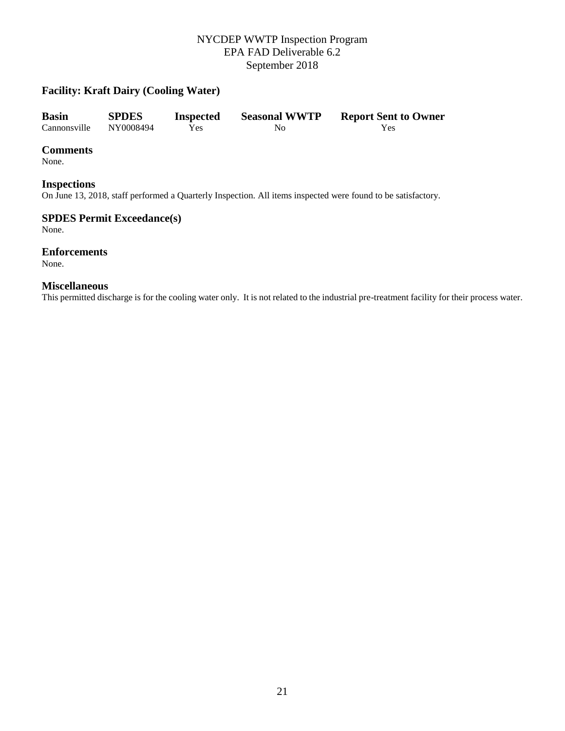## **Facility: Kraft Dairy (Cooling Water)**

| <b>Basin</b> | <b>SPDES</b> | <b>Inspected</b> | <b>Seasonal WWTP</b> | <b>Report Sent to Owner</b> |
|--------------|--------------|------------------|----------------------|-----------------------------|
| Cannonsville | NY0008494    | Yes              | No.                  | Yes                         |

## **Comments**

None.

#### **Inspections**

On June 13, 2018, staff performed a Quarterly Inspection. All items inspected were found to be satisfactory.

#### **SPDES Permit Exceedance(s)** None.

**Enforcements**

None.

## **Miscellaneous**

This permitted discharge is for the cooling water only. It is not related to the industrial pre-treatment facility for their process water.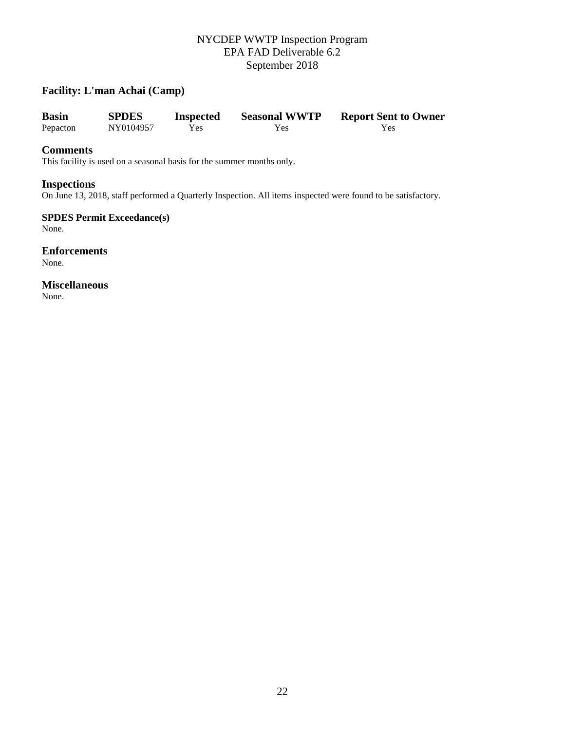## **Facility: L'man Achai (Camp)**

| <b>Basin</b> | <b>SPDES</b> | <b>Inspected</b> | <b>Seasonal WWTP</b> | <b>Report Sent to Owner</b> |
|--------------|--------------|------------------|----------------------|-----------------------------|
| Pepacton     | NY0104957    | Yes              | Yes                  | Yes                         |

## **Comments**

This facility is used on a seasonal basis for the summer months only.

## **Inspections**

On June 13, 2018, staff performed a Quarterly Inspection. All items inspected were found to be satisfactory.

**SPDES Permit Exceedance(s)** None.

**Enforcements** None.

**Miscellaneous**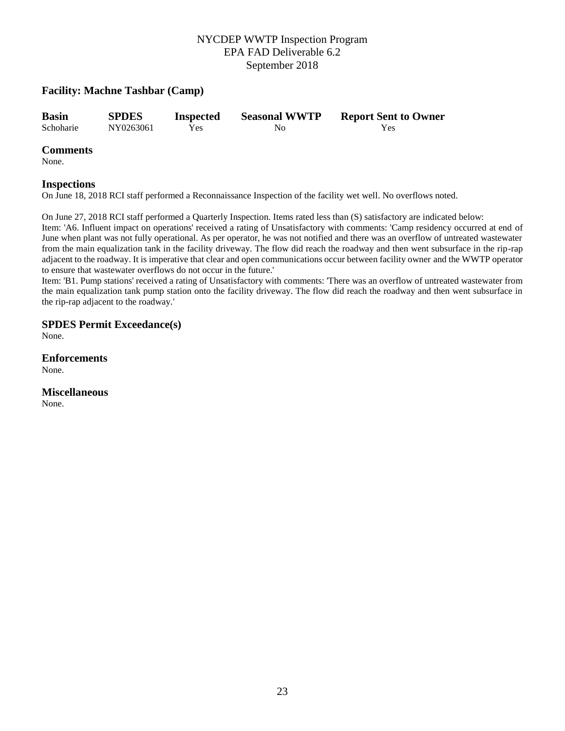## **Facility: Machne Tashbar (Camp)**

| <b>Basin</b> | <b>SPDES</b> | <b>Inspected</b> | <b>Seasonal WWTP</b> | <b>Report Sent to Owner</b> |
|--------------|--------------|------------------|----------------------|-----------------------------|
| Schoharie    | NY0263061    | Yes              | No                   | Yes                         |

## **Comments**

None.

## **Inspections**

On June 18, 2018 RCI staff performed a Reconnaissance Inspection of the facility wet well. No overflows noted.

On June 27, 2018 RCI staff performed a Quarterly Inspection. Items rated less than (S) satisfactory are indicated below: Item: 'A6. Influent impact on operations' received a rating of Unsatisfactory with comments: 'Camp residency occurred at end of June when plant was not fully operational. As per operator, he was not notified and there was an overflow of untreated wastewater from the main equalization tank in the facility driveway. The flow did reach the roadway and then went subsurface in the rip-rap adjacent to the roadway. It is imperative that clear and open communications occur between facility owner and the WWTP operator to ensure that wastewater overflows do not occur in the future.'

Item: 'B1. Pump stations' received a rating of Unsatisfactory with comments: 'There was an overflow of untreated wastewater from the main equalization tank pump station onto the facility driveway. The flow did reach the roadway and then went subsurface in the rip-rap adjacent to the roadway.'

## **SPDES Permit Exceedance(s)**

None.

**Enforcements** None.

**Miscellaneous**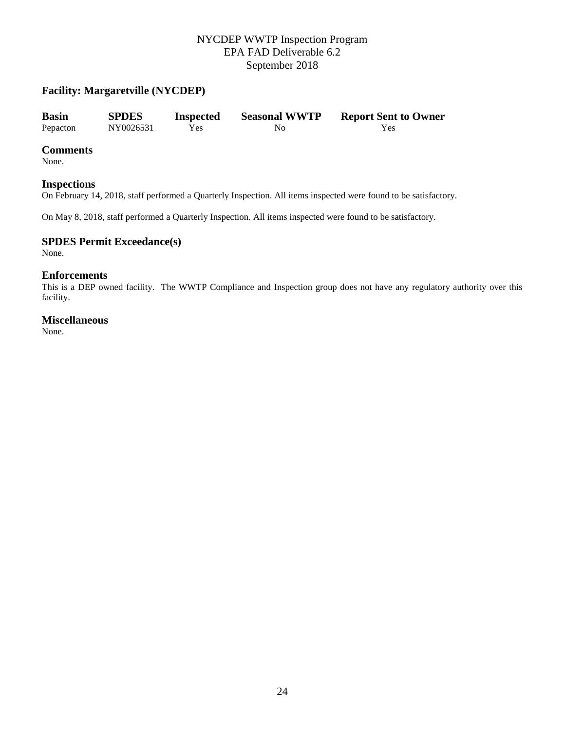## **Facility: Margaretville (NYCDEP)**

| <b>Basin</b> | <b>SPDES</b> | <b>Inspected</b> | <b>Seasonal WWTP</b> | <b>Report Sent to Owner</b> |
|--------------|--------------|------------------|----------------------|-----------------------------|
| Pepacton     | NY0026531    | Yes              | No                   | Yes                         |

#### **Comments**

None.

#### **Inspections**

On February 14, 2018, staff performed a Quarterly Inspection. All items inspected were found to be satisfactory.

On May 8, 2018, staff performed a Quarterly Inspection. All items inspected were found to be satisfactory.

## **SPDES Permit Exceedance(s)**

None.

#### **Enforcements**

This is a DEP owned facility. The WWTP Compliance and Inspection group does not have any regulatory authority over this facility.

## **Miscellaneous**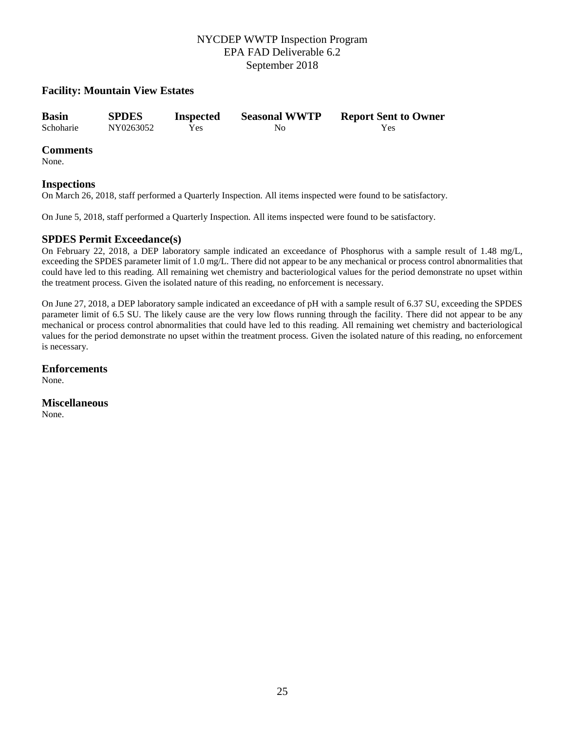## **Facility: Mountain View Estates**

| <b>Basin</b> | <b>SPDES</b> | <b>Inspected</b> | <b>Seasonal WWTP</b> | <b>Report Sent to Owner</b> |
|--------------|--------------|------------------|----------------------|-----------------------------|
| Schoharie    | NY0263052    | Yes              | No.                  | Yes                         |

#### **Comments**

None.

#### **Inspections**

On March 26, 2018, staff performed a Quarterly Inspection. All items inspected were found to be satisfactory.

On June 5, 2018, staff performed a Quarterly Inspection. All items inspected were found to be satisfactory.

## **SPDES Permit Exceedance(s)**

On February 22, 2018, a DEP laboratory sample indicated an exceedance of Phosphorus with a sample result of 1.48 mg/L, exceeding the SPDES parameter limit of 1.0 mg/L. There did not appear to be any mechanical or process control abnormalities that could have led to this reading. All remaining wet chemistry and bacteriological values for the period demonstrate no upset within the treatment process. Given the isolated nature of this reading, no enforcement is necessary.

On June 27, 2018, a DEP laboratory sample indicated an exceedance of pH with a sample result of 6.37 SU, exceeding the SPDES parameter limit of 6.5 SU. The likely cause are the very low flows running through the facility. There did not appear to be any mechanical or process control abnormalities that could have led to this reading. All remaining wet chemistry and bacteriological values for the period demonstrate no upset within the treatment process. Given the isolated nature of this reading, no enforcement is necessary.

#### **Enforcements**

None.

## **Miscellaneous**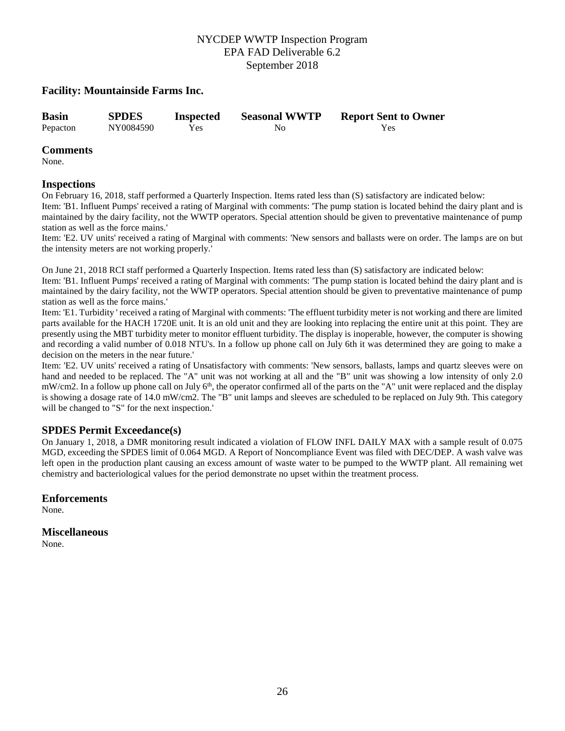## **Facility: Mountainside Farms Inc.**

| <b>Basin</b> | <b>SPDES</b> | <b>Inspected</b> | <b>Seasonal WWTP</b> | <b>Report Sent to Owner</b> |
|--------------|--------------|------------------|----------------------|-----------------------------|
| Pepacton     | NY0084590    | Yes              | No.                  | Yes                         |

#### **Comments**

None.

#### **Inspections**

On February 16, 2018, staff performed a Quarterly Inspection. Items rated less than (S) satisfactory are indicated below: Item: 'B1. Influent Pumps' received a rating of Marginal with comments: 'The pump station is located behind the dairy plant and is maintained by the dairy facility, not the WWTP operators. Special attention should be given to preventative maintenance of pump station as well as the force mains.'

Item: 'E2. UV units' received a rating of Marginal with comments: 'New sensors and ballasts were on order. The lamps are on but the intensity meters are not working properly.'

On June 21, 2018 RCI staff performed a Quarterly Inspection. Items rated less than (S) satisfactory are indicated below:

Item: 'B1. Influent Pumps' received a rating of Marginal with comments: 'The pump station is located behind the dairy plant and is maintained by the dairy facility, not the WWTP operators. Special attention should be given to preventative maintenance of pump station as well as the force mains.'

Item: 'E1. Turbidity ' received a rating of Marginal with comments: 'The effluent turbidity meter is not working and there are limited parts available for the HACH 1720E unit. It is an old unit and they are looking into replacing the entire unit at this point. They are presently using the MBT turbidity meter to monitor effluent turbidity. The display is inoperable, however, the computer is showing and recording a valid number of 0.018 NTU's. In a follow up phone call on July 6th it was determined they are going to make a decision on the meters in the near future.'

Item: 'E2. UV units' received a rating of Unsatisfactory with comments: 'New sensors, ballasts, lamps and quartz sleeves were on hand and needed to be replaced. The "A" unit was not working at all and the "B" unit was showing a low intensity of only 2.0 mW/cm2. In a follow up phone call on July 6<sup>th</sup>, the operator confirmed all of the parts on the "A" unit were replaced and the display is showing a dosage rate of 14.0 mW/cm2. The "B" unit lamps and sleeves are scheduled to be replaced on July 9th. This category will be changed to "S" for the next inspection.'

## **SPDES Permit Exceedance(s)**

On January 1, 2018, a DMR monitoring result indicated a violation of FLOW INFL DAILY MAX with a sample result of 0.075 MGD, exceeding the SPDES limit of 0.064 MGD. A Report of Noncompliance Event was filed with DEC/DEP. A wash valve was left open in the production plant causing an excess amount of waste water to be pumped to the WWTP plant. All remaining wet chemistry and bacteriological values for the period demonstrate no upset within the treatment process.

## **Enforcements**

None.

## **Miscellaneous**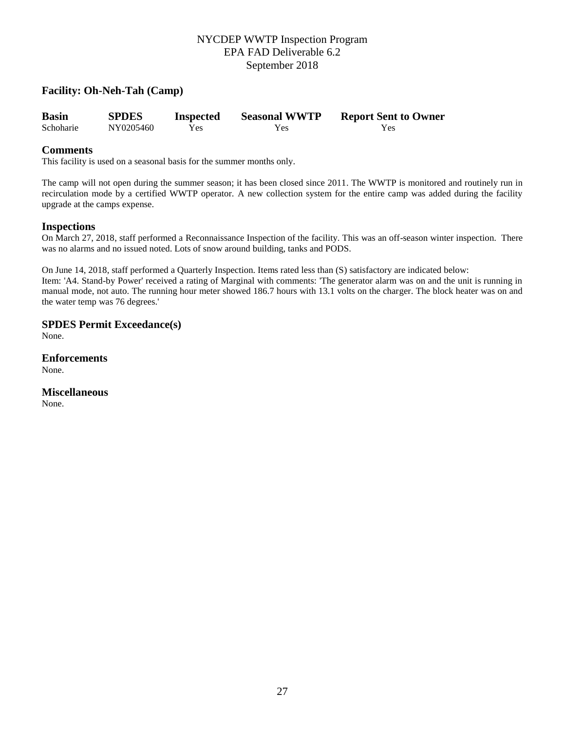## **Facility: Oh-Neh-Tah (Camp)**

| <b>Basin</b> | <b>SPDES</b> | <b>Inspected</b> | <b>Seasonal WWTP</b> | <b>Report Sent to Owner</b> |
|--------------|--------------|------------------|----------------------|-----------------------------|
| Schoharie    | NY0205460    | Yes              | Yes                  | <b>Yes</b>                  |

## **Comments**

This facility is used on a seasonal basis for the summer months only.

The camp will not open during the summer season; it has been closed since 2011. The WWTP is monitored and routinely run in recirculation mode by a certified WWTP operator. A new collection system for the entire camp was added during the facility upgrade at the camps expense.

#### **Inspections**

On March 27, 2018, staff performed a Reconnaissance Inspection of the facility. This was an off-season winter inspection. There was no alarms and no issued noted. Lots of snow around building, tanks and PODS.

On June 14, 2018, staff performed a Quarterly Inspection. Items rated less than (S) satisfactory are indicated below: Item: 'A4. Stand-by Power' received a rating of Marginal with comments: 'The generator alarm was on and the unit is running in manual mode, not auto. The running hour meter showed 186.7 hours with 13.1 volts on the charger. The block heater was on and

the water temp was 76 degrees.'

## **SPDES Permit Exceedance(s)**

None.

**Enforcements** None.

**Miscellaneous**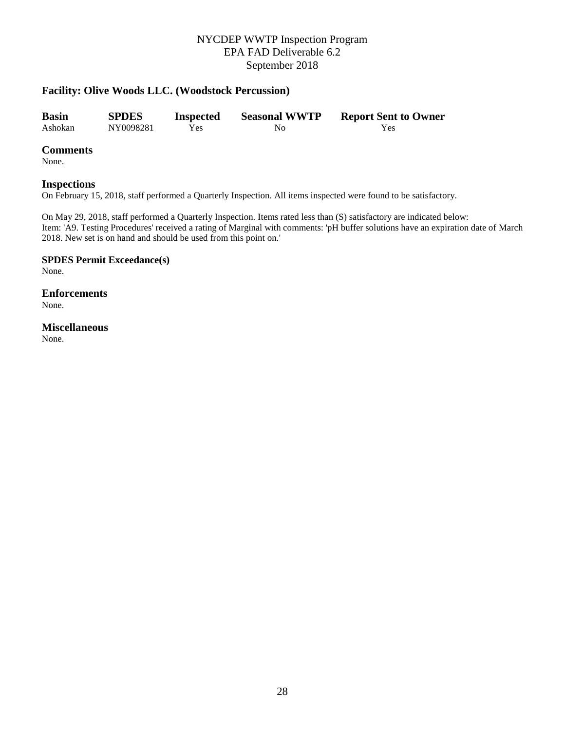## **Facility: Olive Woods LLC. (Woodstock Percussion)**

| <b>Basin</b> | <b>SPDES</b> | <b>Inspected</b> | <b>Seasonal WWTP</b> | <b>Report Sent to Owner</b> |
|--------------|--------------|------------------|----------------------|-----------------------------|
| Ashokan      | NY0098281    | Yes              | Nο                   | Yes                         |

#### **Comments**

None.

#### **Inspections**

On February 15, 2018, staff performed a Quarterly Inspection. All items inspected were found to be satisfactory.

On May 29, 2018, staff performed a Quarterly Inspection. Items rated less than (S) satisfactory are indicated below: Item: 'A9. Testing Procedures' received a rating of Marginal with comments: 'pH buffer solutions have an expiration date of March 2018. New set is on hand and should be used from this point on.'

**SPDES Permit Exceedance(s)** None.

**Enforcements**

None.

**Miscellaneous**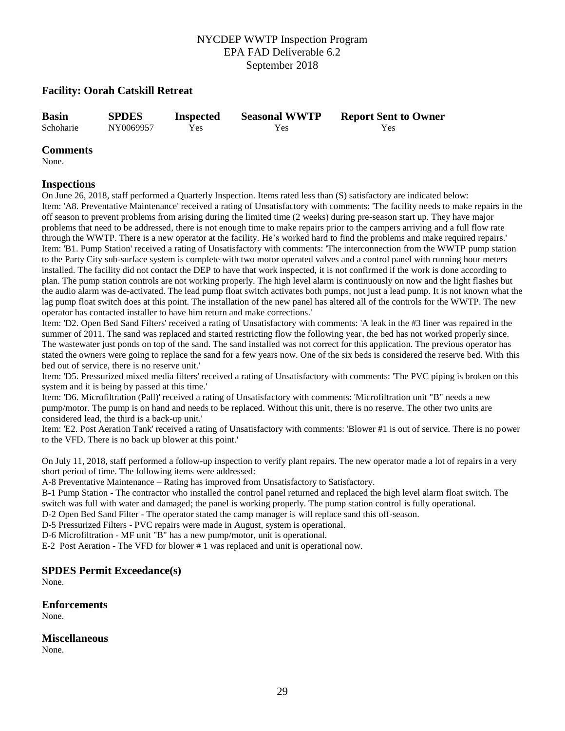## **Facility: Oorah Catskill Retreat**

| <b>Basin</b> | <b>SPDES</b> | <b>Inspected</b> | <b>Seasonal WWTP</b> | <b>Report Sent to Owner</b> |
|--------------|--------------|------------------|----------------------|-----------------------------|
| Schoharie    | NY0069957    | Yes              | Yes                  | Yes                         |

#### **Comments**

None.

#### **Inspections**

On June 26, 2018, staff performed a Quarterly Inspection. Items rated less than (S) satisfactory are indicated below: Item: 'A8. Preventative Maintenance' received a rating of Unsatisfactory with comments: 'The facility needs to make repairs in the off season to prevent problems from arising during the limited time (2 weeks) during pre-season start up. They have major problems that need to be addressed, there is not enough time to make repairs prior to the campers arriving and a full flow rate through the WWTP. There is a new operator at the facility. He's worked hard to find the problems and make required repairs.' Item: 'B1. Pump Station' received a rating of Unsatisfactory with comments: 'The interconnection from the WWTP pump station to the Party City sub-surface system is complete with two motor operated valves and a control panel with running hour meters installed. The facility did not contact the DEP to have that work inspected, it is not confirmed if the work is done according to plan. The pump station controls are not working properly. The high level alarm is continuously on now and the light flashes but the audio alarm was de-activated. The lead pump float switch activates both pumps, not just a lead pump. It is not known what the lag pump float switch does at this point. The installation of the new panel has altered all of the controls for the WWTP. The new operator has contacted installer to have him return and make corrections.'

Item: 'D2. Open Bed Sand Filters' received a rating of Unsatisfactory with comments: 'A leak in the #3 liner was repaired in the summer of 2011. The sand was replaced and started restricting flow the following year, the bed has not worked properly since. The wastewater just ponds on top of the sand. The sand installed was not correct for this application. The previous operator has stated the owners were going to replace the sand for a few years now. One of the six beds is considered the reserve bed. With this bed out of service, there is no reserve unit.'

Item: 'D5. Pressurized mixed media filters' received a rating of Unsatisfactory with comments: 'The PVC piping is broken on this system and it is being by passed at this time.'

Item: 'D6. Microfiltration (Pall)' received a rating of Unsatisfactory with comments: 'Microfiltration unit "B" needs a new pump/motor. The pump is on hand and needs to be replaced. Without this unit, there is no reserve. The other two units are considered lead, the third is a back-up unit.'

Item: 'E2. Post Aeration Tank' received a rating of Unsatisfactory with comments: 'Blower #1 is out of service. There is no power to the VFD. There is no back up blower at this point.'

On July 11, 2018, staff performed a follow-up inspection to verify plant repairs. The new operator made a lot of repairs in a very short period of time. The following items were addressed:

A-8 Preventative Maintenance – Rating has improved from Unsatisfactory to Satisfactory.

B-1 Pump Station - The contractor who installed the control panel returned and replaced the high level alarm float switch. The switch was full with water and damaged; the panel is working properly. The pump station control is fully operational.

D-2 Open Bed Sand Filter - The operator stated the camp manager is will replace sand this off-season.

D-5 Pressurized Filters - PVC repairs were made in August, system is operational.

D-6 Microfiltration - MF unit "B" has a new pump/motor, unit is operational.

E-2 Post Aeration - The VFD for blower # 1 was replaced and unit is operational now.

## **SPDES Permit Exceedance(s)**

None.

## **Enforcements**

None.

## **Miscellaneous**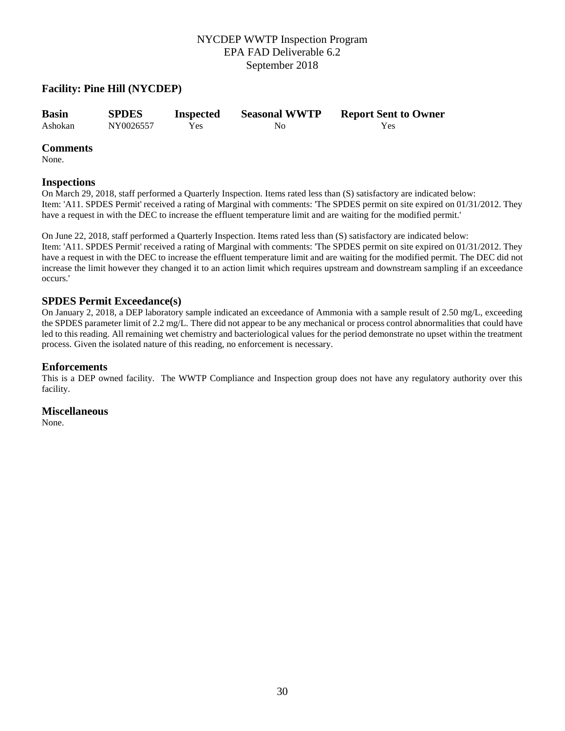## **Facility: Pine Hill (NYCDEP)**

| <b>Basin</b> | <b>SPDES</b> | <b>Inspected</b> | <b>Seasonal WWTP</b> | <b>Report Sent to Owner</b> |
|--------------|--------------|------------------|----------------------|-----------------------------|
| Ashokan      | NY0026557    | Yes              | No                   | <b>Yes</b>                  |

#### **Comments**

None.

## **Inspections**

On March 29, 2018, staff performed a Quarterly Inspection. Items rated less than (S) satisfactory are indicated below: Item: 'A11. SPDES Permit' received a rating of Marginal with comments: 'The SPDES permit on site expired on 01/31/2012. They have a request in with the DEC to increase the effluent temperature limit and are waiting for the modified permit.'

On June 22, 2018, staff performed a Quarterly Inspection. Items rated less than (S) satisfactory are indicated below: Item: 'A11. SPDES Permit' received a rating of Marginal with comments: 'The SPDES permit on site expired on 01/31/2012. They have a request in with the DEC to increase the effluent temperature limit and are waiting for the modified permit. The DEC did not increase the limit however they changed it to an action limit which requires upstream and downstream sampling if an exceedance occurs.'

## **SPDES Permit Exceedance(s)**

On January 2, 2018, a DEP laboratory sample indicated an exceedance of Ammonia with a sample result of 2.50 mg/L, exceeding the SPDES parameter limit of 2.2 mg/L. There did not appear to be any mechanical or process control abnormalities that could have led to this reading. All remaining wet chemistry and bacteriological values for the period demonstrate no upset within the treatment process. Given the isolated nature of this reading, no enforcement is necessary.

#### **Enforcements**

This is a DEP owned facility. The WWTP Compliance and Inspection group does not have any regulatory authority over this facility.

#### **Miscellaneous**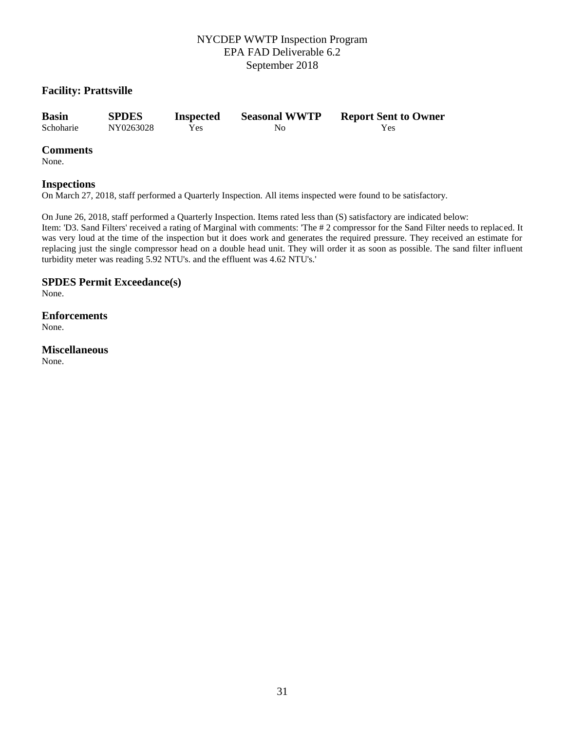## **Facility: Prattsville**

| <b>Basin</b> | <b>SPDES</b> | <b>Inspected</b> | <b>Seasonal WWTP</b> | <b>Report Sent to Owner</b> |
|--------------|--------------|------------------|----------------------|-----------------------------|
| Schoharie    | NY0263028    | Yes              | No                   | Yes                         |

#### **Comments**

None.

#### **Inspections**

On March 27, 2018, staff performed a Quarterly Inspection. All items inspected were found to be satisfactory.

On June 26, 2018, staff performed a Quarterly Inspection. Items rated less than (S) satisfactory are indicated below: Item: 'D3. Sand Filters' received a rating of Marginal with comments: 'The # 2 compressor for the Sand Filter needs to replaced. It was very loud at the time of the inspection but it does work and generates the required pressure. They received an estimate for replacing just the single compressor head on a double head unit. They will order it as soon as possible. The sand filter influent turbidity meter was reading 5.92 NTU's. and the effluent was 4.62 NTU's.'

## **SPDES Permit Exceedance(s)**

None.

## **Enforcements**

None.

# **Miscellaneous**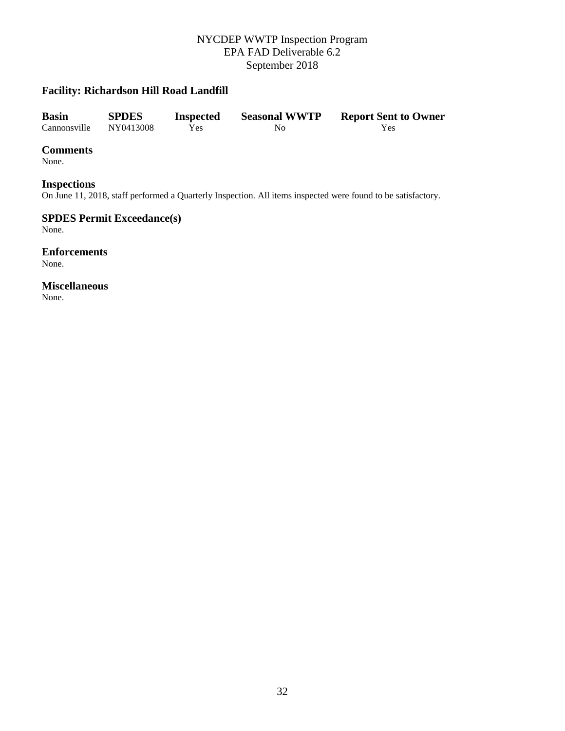## **Facility: Richardson Hill Road Landfill**

| <b>Basin</b> | <b>SPDES</b> | <b>Inspected</b> | <b>Seasonal WWTP</b> | <b>Report Sent to Owner</b> |
|--------------|--------------|------------------|----------------------|-----------------------------|
| Cannonsville | NY0413008    | Yes              | No                   | Yes                         |

## **Comments**

None.

## **Inspections**

On June 11, 2018, staff performed a Quarterly Inspection. All items inspected were found to be satisfactory.

**SPDES Permit Exceedance(s)** None.

**Enforcements** None.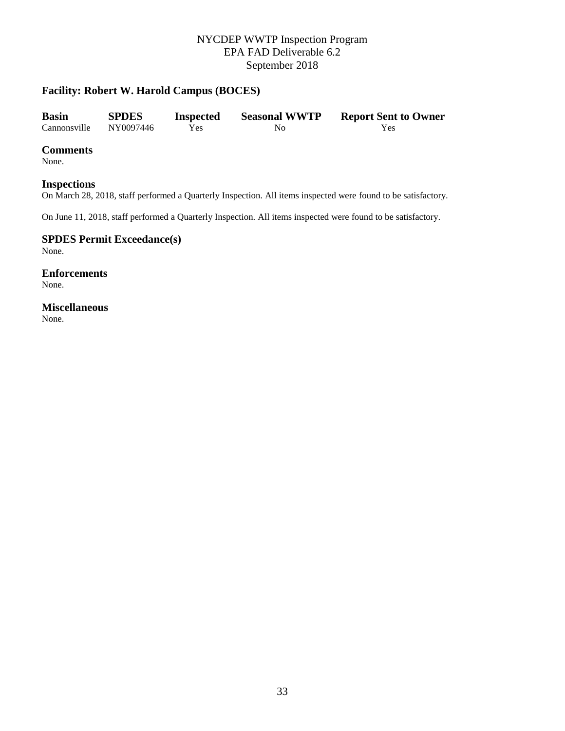## **Facility: Robert W. Harold Campus (BOCES)**

| <b>Basin</b> | <b>SPDES</b> | <b>Inspected</b> | <b>Seasonal WWTP</b> | <b>Report Sent to Owner</b> |
|--------------|--------------|------------------|----------------------|-----------------------------|
| Cannonsville | NY0097446    | Yes              | No                   | Yes                         |

#### **Comments**

None.

#### **Inspections**

On March 28, 2018, staff performed a Quarterly Inspection. All items inspected were found to be satisfactory.

On June 11, 2018, staff performed a Quarterly Inspection. All items inspected were found to be satisfactory.

#### **SPDES Permit Exceedance(s)** None.

**Enforcements** None.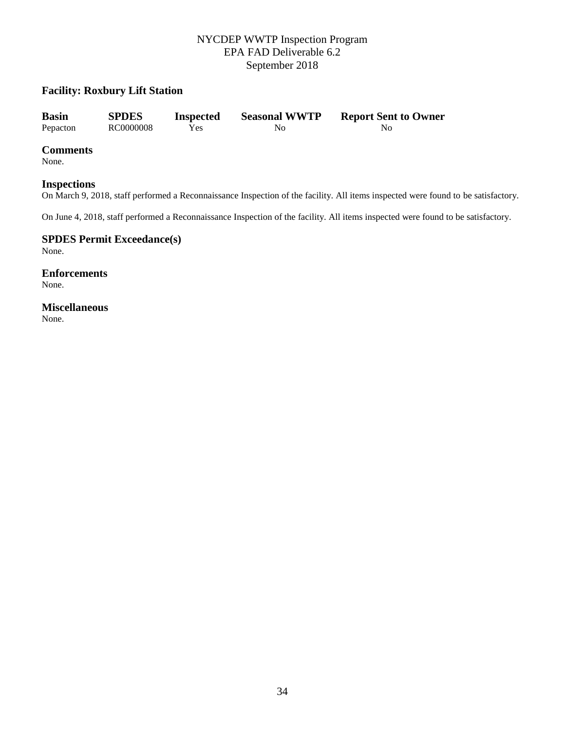## **Facility: Roxbury Lift Station**

| <b>Basin</b> | <b>SPDES</b> | <b>Inspected</b> | <b>Seasonal WWTP</b> | <b>Report Sent to Owner</b> |
|--------------|--------------|------------------|----------------------|-----------------------------|
| Pepacton     | RC0000008    | Yes              | No                   | No                          |

## **Comments**

None.

#### **Inspections**

On March 9, 2018, staff performed a Reconnaissance Inspection of the facility. All items inspected were found to be satisfactory.

On June 4, 2018, staff performed a Reconnaissance Inspection of the facility. All items inspected were found to be satisfactory.

**SPDES Permit Exceedance(s)** None.

**Enforcements** None.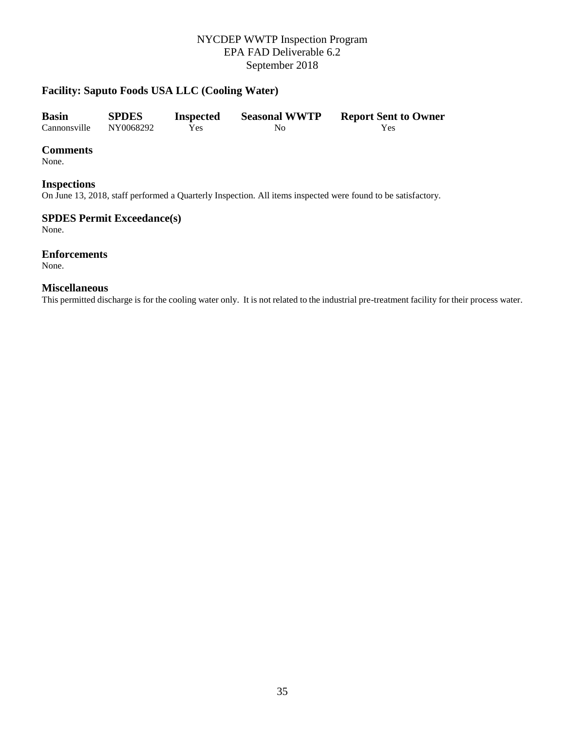## **Facility: Saputo Foods USA LLC (Cooling Water)**

| <b>Basin</b> | <b>SPDES</b> | <b>Inspected</b> | <b>Seasonal WWTP</b> | <b>Report Sent to Owner</b> |
|--------------|--------------|------------------|----------------------|-----------------------------|
| Cannonsville | NY0068292    | Yes              | No.                  | Yes                         |

#### **Comments**

None.

#### **Inspections**

On June 13, 2018, staff performed a Quarterly Inspection. All items inspected were found to be satisfactory.

#### **SPDES Permit Exceedance(s)** None.

**Enforcements**

None.

## **Miscellaneous**

This permitted discharge is for the cooling water only. It is not related to the industrial pre-treatment facility for their process water.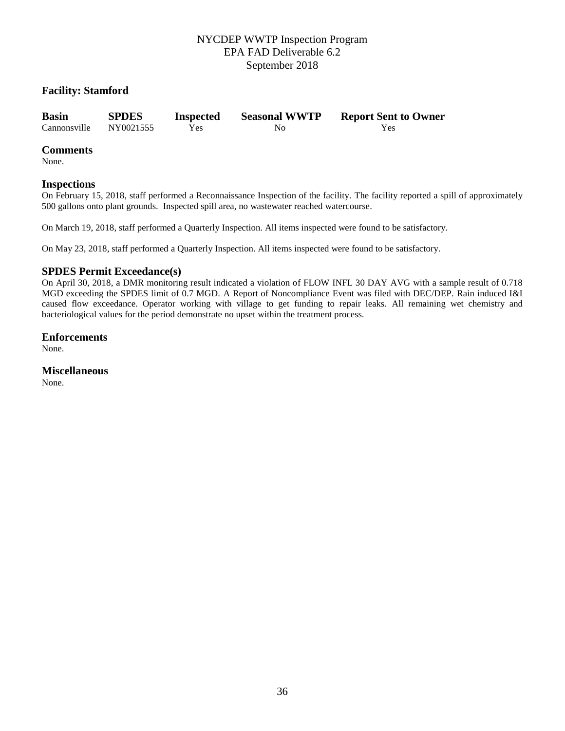## **Facility: Stamford**

| <b>Basin</b> | <b>SPDES</b> | <b>Inspected</b> | <b>Seasonal WWTP</b> | <b>Report Sent to Owner</b> |
|--------------|--------------|------------------|----------------------|-----------------------------|
| Cannonsville | NY0021555    | Yes              | No                   | Yes.                        |

#### **Comments**

None.

#### **Inspections**

On February 15, 2018, staff performed a Reconnaissance Inspection of the facility. The facility reported a spill of approximately 500 gallons onto plant grounds. Inspected spill area, no wastewater reached watercourse.

On March 19, 2018, staff performed a Quarterly Inspection. All items inspected were found to be satisfactory.

On May 23, 2018, staff performed a Quarterly Inspection. All items inspected were found to be satisfactory.

## **SPDES Permit Exceedance(s)**

On April 30, 2018, a DMR monitoring result indicated a violation of FLOW INFL 30 DAY AVG with a sample result of 0.718 MGD exceeding the SPDES limit of 0.7 MGD. A Report of Noncompliance Event was filed with DEC/DEP. Rain induced I&I caused flow exceedance. Operator working with village to get funding to repair leaks. All remaining wet chemistry and bacteriological values for the period demonstrate no upset within the treatment process.

#### **Enforcements**

None.

## **Miscellaneous**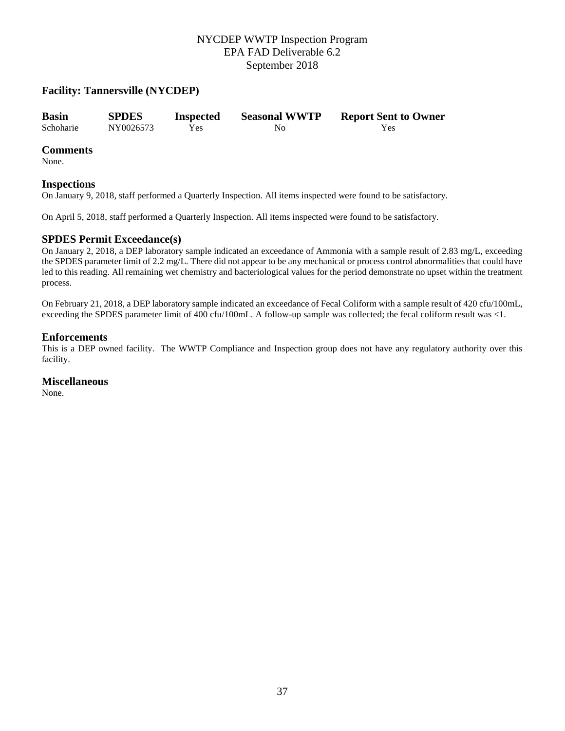## **Facility: Tannersville (NYCDEP)**

| <b>Basin</b> | <b>SPDES</b> | <b>Inspected</b> | <b>Seasonal WWTP</b> | <b>Report Sent to Owner</b> |
|--------------|--------------|------------------|----------------------|-----------------------------|
| Schoharie    | NY0026573    | Yes              | No                   | Yes                         |

#### **Comments**

None.

#### **Inspections**

On January 9, 2018, staff performed a Quarterly Inspection. All items inspected were found to be satisfactory.

On April 5, 2018, staff performed a Quarterly Inspection. All items inspected were found to be satisfactory.

## **SPDES Permit Exceedance(s)**

On January 2, 2018, a DEP laboratory sample indicated an exceedance of Ammonia with a sample result of 2.83 mg/L, exceeding the SPDES parameter limit of 2.2 mg/L. There did not appear to be any mechanical or process control abnormalities that could have led to this reading. All remaining wet chemistry and bacteriological values for the period demonstrate no upset within the treatment process.

On February 21, 2018, a DEP laboratory sample indicated an exceedance of Fecal Coliform with a sample result of 420 cfu/100mL, exceeding the SPDES parameter limit of 400 cfu/100mL. A follow-up sample was collected; the fecal coliform result was <1.

#### **Enforcements**

This is a DEP owned facility. The WWTP Compliance and Inspection group does not have any regulatory authority over this facility.

#### **Miscellaneous**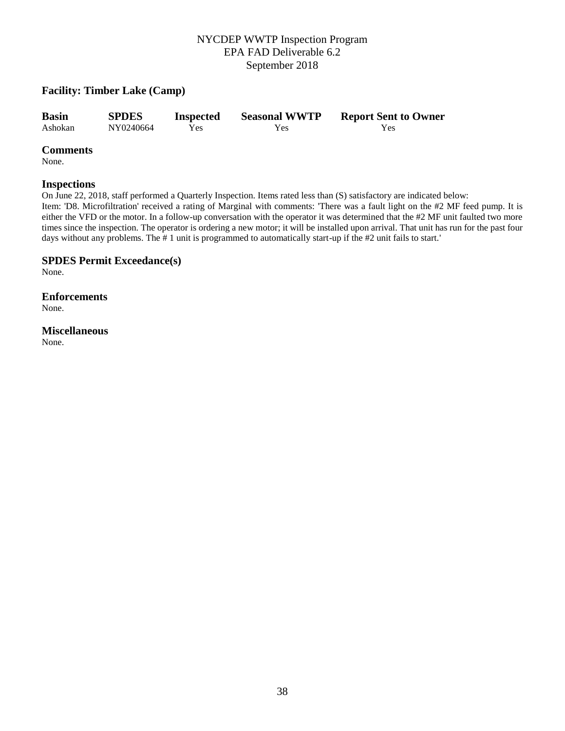## **Facility: Timber Lake (Camp)**

| <b>Basin</b> | <b>SPDES</b> | <b>Inspected</b> | <b>Seasonal WWTP</b> | <b>Report Sent to Owner</b> |
|--------------|--------------|------------------|----------------------|-----------------------------|
| Ashokan      | NY0240664    | Yes              | Yes                  | Yes.                        |

#### **Comments**

None.

#### **Inspections**

On June 22, 2018, staff performed a Quarterly Inspection. Items rated less than (S) satisfactory are indicated below:

Item: 'D8. Microfiltration' received a rating of Marginal with comments: 'There was a fault light on the #2 MF feed pump. It is either the VFD or the motor. In a follow-up conversation with the operator it was determined that the #2 MF unit faulted two more times since the inspection. The operator is ordering a new motor; it will be installed upon arrival. That unit has run for the past four days without any problems. The #1 unit is programmed to automatically start-up if the #2 unit fails to start.'

## **SPDES Permit Exceedance(s)**

None.

**Enforcements**

None.

## **Miscellaneous**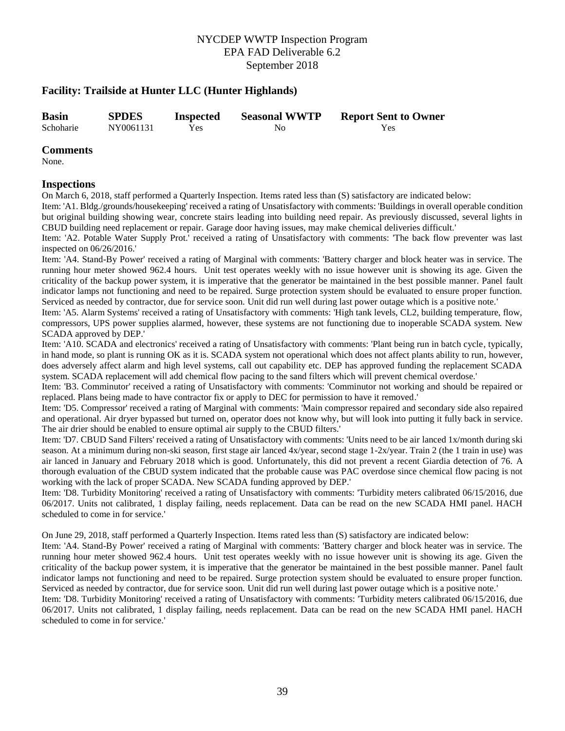## **Facility: Trailside at Hunter LLC (Hunter Highlands)**

| <b>Basin</b> | <b>SPDES</b> | <b>Inspected</b> | <b>Seasonal WWTP</b> | <b>Report Sent to Owner</b> |
|--------------|--------------|------------------|----------------------|-----------------------------|
| Schoharie    | NY0061131    | Yes.             | N <sub>0</sub>       | Yes                         |

#### **Comments**

None.

## **Inspections**

On March 6, 2018, staff performed a Quarterly Inspection. Items rated less than (S) satisfactory are indicated below:

Item: 'A1. Bldg./grounds/housekeeping' received a rating of Unsatisfactory with comments: 'Buildings in overall operable condition but original building showing wear, concrete stairs leading into building need repair. As previously discussed, several lights in CBUD building need replacement or repair. Garage door having issues, may make chemical deliveries difficult.'

Item: 'A2. Potable Water Supply Prot.' received a rating of Unsatisfactory with comments: 'The back flow preventer was last inspected on 06/26/2016.'

Item: 'A4. Stand-By Power' received a rating of Marginal with comments: 'Battery charger and block heater was in service. The running hour meter showed 962.4 hours. Unit test operates weekly with no issue however unit is showing its age. Given the criticality of the backup power system, it is imperative that the generator be maintained in the best possible manner. Panel fault indicator lamps not functioning and need to be repaired. Surge protection system should be evaluated to ensure proper function. Serviced as needed by contractor, due for service soon. Unit did run well during last power outage which is a positive note.'

Item: 'A5. Alarm Systems' received a rating of Unsatisfactory with comments: 'High tank levels, CL2, building temperature, flow, compressors, UPS power supplies alarmed, however, these systems are not functioning due to inoperable SCADA system. New SCADA approved by DEP.'

Item: 'A10. SCADA and electronics' received a rating of Unsatisfactory with comments: 'Plant being run in batch cycle, typically, in hand mode, so plant is running OK as it is. SCADA system not operational which does not affect plants ability to run, however, does adversely affect alarm and high level systems, call out capability etc. DEP has approved funding the replacement SCADA system. SCADA replacement will add chemical flow pacing to the sand filters which will prevent chemical overdose.'

Item: 'B3. Comminutor' received a rating of Unsatisfactory with comments: 'Comminutor not working and should be repaired or replaced. Plans being made to have contractor fix or apply to DEC for permission to have it removed.'

Item: 'D5. Compressor' received a rating of Marginal with comments: 'Main compressor repaired and secondary side also repaired and operational. Air dryer bypassed but turned on, operator does not know why, but will look into putting it fully back in service. The air drier should be enabled to ensure optimal air supply to the CBUD filters.'

Item: 'D7. CBUD Sand Filters' received a rating of Unsatisfactory with comments: 'Units need to be air lanced 1x/month during ski season. At a minimum during non-ski season, first stage air lanced 4x/year, second stage 1-2x/year. Train 2 (the 1 train in use) was air lanced in January and February 2018 which is good. Unfortunately, this did not prevent a recent Giardia detection of 76. A thorough evaluation of the CBUD system indicated that the probable cause was PAC overdose since chemical flow pacing is not working with the lack of proper SCADA. New SCADA funding approved by DEP.'

Item: 'D8. Turbidity Monitoring' received a rating of Unsatisfactory with comments: 'Turbidity meters calibrated 06/15/2016, due 06/2017. Units not calibrated, 1 display failing, needs replacement. Data can be read on the new SCADA HMI panel. HACH scheduled to come in for service.'

On June 29, 2018, staff performed a Quarterly Inspection. Items rated less than (S) satisfactory are indicated below:

Item: 'A4. Stand-By Power' received a rating of Marginal with comments: 'Battery charger and block heater was in service. The running hour meter showed 962.4 hours. Unit test operates weekly with no issue however unit is showing its age. Given the criticality of the backup power system, it is imperative that the generator be maintained in the best possible manner. Panel fault indicator lamps not functioning and need to be repaired. Surge protection system should be evaluated to ensure proper function. Serviced as needed by contractor, due for service soon. Unit did run well during last power outage which is a positive note.'

Item: 'D8. Turbidity Monitoring' received a rating of Unsatisfactory with comments: 'Turbidity meters calibrated 06/15/2016, due 06/2017. Units not calibrated, 1 display failing, needs replacement. Data can be read on the new SCADA HMI panel. HACH scheduled to come in for service.'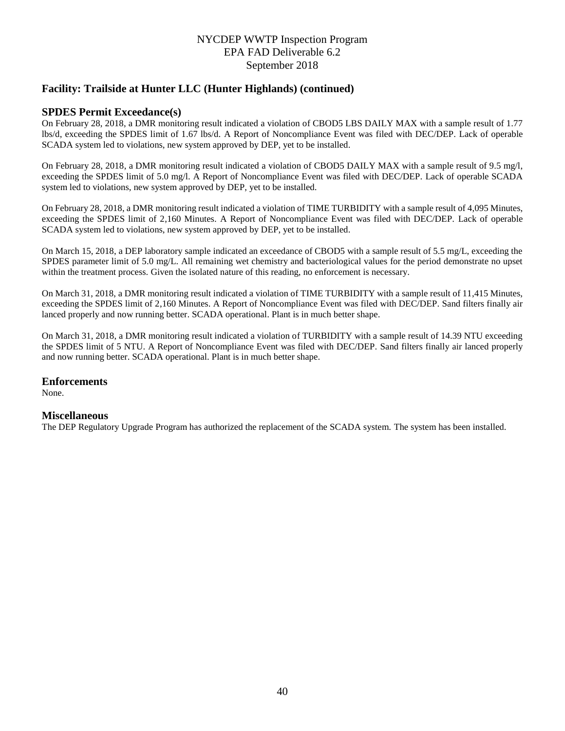## **Facility: Trailside at Hunter LLC (Hunter Highlands) (continued)**

#### **SPDES Permit Exceedance(s)**

On February 28, 2018, a DMR monitoring result indicated a violation of CBOD5 LBS DAILY MAX with a sample result of 1.77 lbs/d, exceeding the SPDES limit of 1.67 lbs/d. A Report of Noncompliance Event was filed with DEC/DEP. Lack of operable SCADA system led to violations, new system approved by DEP, yet to be installed.

On February 28, 2018, a DMR monitoring result indicated a violation of CBOD5 DAILY MAX with a sample result of 9.5 mg/l, exceeding the SPDES limit of 5.0 mg/l. A Report of Noncompliance Event was filed with DEC/DEP. Lack of operable SCADA system led to violations, new system approved by DEP, yet to be installed.

On February 28, 2018, a DMR monitoring result indicated a violation of TIME TURBIDITY with a sample result of 4,095 Minutes, exceeding the SPDES limit of 2,160 Minutes. A Report of Noncompliance Event was filed with DEC/DEP. Lack of operable SCADA system led to violations, new system approved by DEP, yet to be installed.

On March 15, 2018, a DEP laboratory sample indicated an exceedance of CBOD5 with a sample result of 5.5 mg/L, exceeding the SPDES parameter limit of 5.0 mg/L. All remaining wet chemistry and bacteriological values for the period demonstrate no upset within the treatment process. Given the isolated nature of this reading, no enforcement is necessary.

On March 31, 2018, a DMR monitoring result indicated a violation of TIME TURBIDITY with a sample result of 11,415 Minutes, exceeding the SPDES limit of 2,160 Minutes. A Report of Noncompliance Event was filed with DEC/DEP. Sand filters finally air lanced properly and now running better. SCADA operational. Plant is in much better shape.

On March 31, 2018, a DMR monitoring result indicated a violation of TURBIDITY with a sample result of 14.39 NTU exceeding the SPDES limit of 5 NTU. A Report of Noncompliance Event was filed with DEC/DEP. Sand filters finally air lanced properly and now running better. SCADA operational. Plant is in much better shape.

#### **Enforcements**

None.

#### **Miscellaneous**

The DEP Regulatory Upgrade Program has authorized the replacement of the SCADA system. The system has been installed.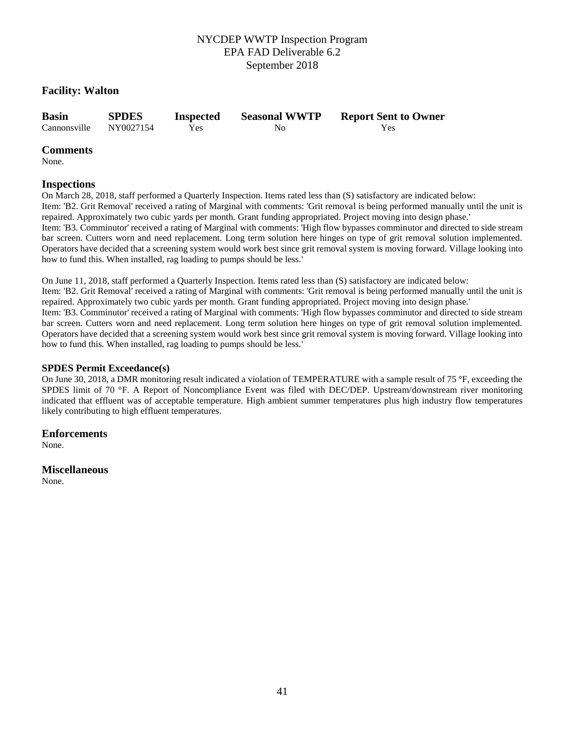## **Facility: Walton**

| <b>Basin</b>           | <b>SPDES</b> | <b>Inspected</b> | <b>Seasonal WWTP</b> | <b>Report Sent to Owner</b> |
|------------------------|--------------|------------------|----------------------|-----------------------------|
| Cannonsville NY0027154 |              | Yes.             | No.                  | Yes                         |

#### **Comments**

None.

#### **Inspections**

On March 28, 2018, staff performed a Quarterly Inspection. Items rated less than (S) satisfactory are indicated below: Item: 'B2. Grit Removal' received a rating of Marginal with comments: 'Grit removal is being performed manually until the unit is repaired. Approximately two cubic yards per month. Grant funding appropriated. Project moving into design phase.' Item: 'B3. Comminutor' received a rating of Marginal with comments: 'High flow bypasses comminutor and directed to side stream bar screen. Cutters worn and need replacement. Long term solution here hinges on type of grit removal solution implemented. Operators have decided that a screening system would work best since grit removal system is moving forward. Village looking into how to fund this. When installed, rag loading to pumps should be less.'

On June 11, 2018, staff performed a Quarterly Inspection. Items rated less than (S) satisfactory are indicated below:

Item: 'B2. Grit Removal' received a rating of Marginal with comments: 'Grit removal is being performed manually until the unit is repaired. Approximately two cubic yards per month. Grant funding appropriated. Project moving into design phase.'

Item: 'B3. Comminutor' received a rating of Marginal with comments: 'High flow bypasses comminutor and directed to side stream bar screen. Cutters worn and need replacement. Long term solution here hinges on type of grit removal solution implemented. Operators have decided that a screening system would work best since grit removal system is moving forward. Village looking into how to fund this. When installed, rag loading to pumps should be less.'

#### **SPDES Permit Exceedance(s)**

On June 30, 2018, a DMR monitoring result indicated a violation of TEMPERATURE with a sample result of 75 °F, exceeding the SPDES limit of 70 °F. A Report of Noncompliance Event was filed with DEC/DEP. Upstream/downstream river monitoring indicated that effluent was of acceptable temperature. High ambient summer temperatures plus high industry flow temperatures likely contributing to high effluent temperatures.

## **Enforcements**

None.

## **Miscellaneous**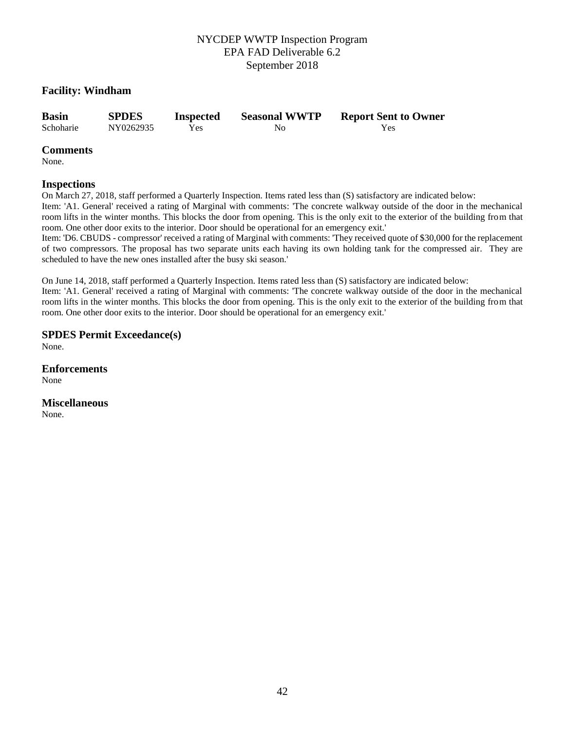## **Facility: Windham**

| <b>Basin</b> | <b>SPDES</b> | <b>Inspected</b> | <b>Seasonal WWTP</b> | <b>Report Sent to Owner</b> |
|--------------|--------------|------------------|----------------------|-----------------------------|
| Schoharie    | NY0262935    | Yes              | No                   | Yes                         |

#### **Comments**

None.

#### **Inspections**

On March 27, 2018, staff performed a Quarterly Inspection. Items rated less than (S) satisfactory are indicated below:

Item: 'A1. General' received a rating of Marginal with comments: 'The concrete walkway outside of the door in the mechanical room lifts in the winter months. This blocks the door from opening. This is the only exit to the exterior of the building from that room. One other door exits to the interior. Door should be operational for an emergency exit.'

Item: 'D6. CBUDS - compressor' received a rating of Marginal with comments: 'They received quote of \$30,000 for the replacement of two compressors. The proposal has two separate units each having its own holding tank for the compressed air. They are scheduled to have the new ones installed after the busy ski season.'

On June 14, 2018, staff performed a Quarterly Inspection. Items rated less than (S) satisfactory are indicated below:

Item: 'A1. General' received a rating of Marginal with comments: 'The concrete walkway outside of the door in the mechanical room lifts in the winter months. This blocks the door from opening. This is the only exit to the exterior of the building from that room. One other door exits to the interior. Door should be operational for an emergency exit.'

## **SPDES Permit Exceedance(s)**

None.

**Enforcements** None

## **Miscellaneous**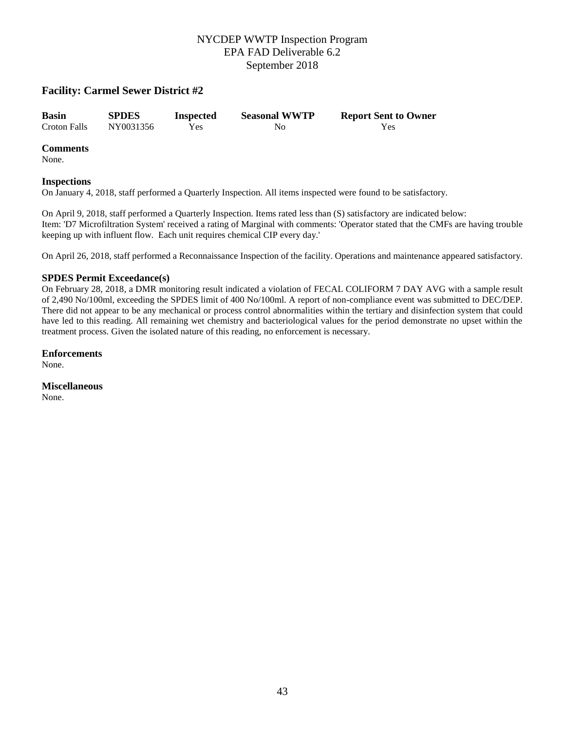## **Facility: Carmel Sewer District #2**

| <b>Basin</b>        | <b>SPDES</b> | <b>Inspected</b> | <b>Seasonal WWTP</b> | <b>Report Sent to Owner</b> |
|---------------------|--------------|------------------|----------------------|-----------------------------|
| <b>Croton Falls</b> | NY0031356    | Yes              | No                   | Yes                         |

#### **Comments**

None.

#### **Inspections**

On January 4, 2018, staff performed a Quarterly Inspection. All items inspected were found to be satisfactory.

On April 9, 2018, staff performed a Quarterly Inspection. Items rated less than (S) satisfactory are indicated below: Item: 'D7 Microfiltration System' received a rating of Marginal with comments: 'Operator stated that the CMFs are having trouble keeping up with influent flow. Each unit requires chemical CIP every day.'

On April 26, 2018, staff performed a Reconnaissance Inspection of the facility. Operations and maintenance appeared satisfactory.

#### **SPDES Permit Exceedance(s)**

On February 28, 2018, a DMR monitoring result indicated a violation of FECAL COLIFORM 7 DAY AVG with a sample result of 2,490 No/100ml, exceeding the SPDES limit of 400 No/100ml. A report of non-compliance event was submitted to DEC/DEP. There did not appear to be any mechanical or process control abnormalities within the tertiary and disinfection system that could have led to this reading. All remaining wet chemistry and bacteriological values for the period demonstrate no upset within the treatment process. Given the isolated nature of this reading, no enforcement is necessary.

#### **Enforcements**

None.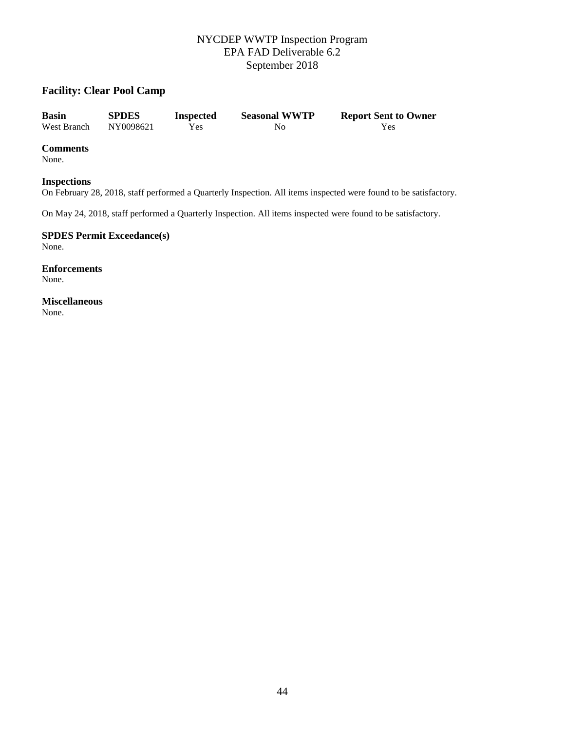## **Facility: Clear Pool Camp**

| <b>Basin</b> | <b>SPDES</b> | <b>Inspected</b> | <b>Seasonal WWTP</b> | <b>Report Sent to Owner</b> |
|--------------|--------------|------------------|----------------------|-----------------------------|
| West Branch  | NY0098621    | Yes.             | No                   | Yes                         |

#### **Comments**

None.

#### **Inspections**

On February 28, 2018, staff performed a Quarterly Inspection. All items inspected were found to be satisfactory.

On May 24, 2018, staff performed a Quarterly Inspection. All items inspected were found to be satisfactory.

**SPDES Permit Exceedance(s)** None.

**Enforcements** None.

**Miscellaneous**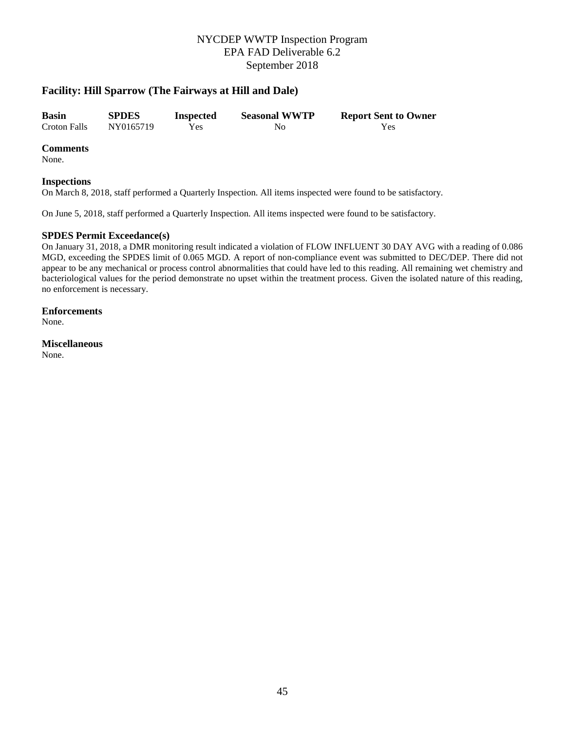## **Facility: Hill Sparrow (The Fairways at Hill and Dale)**

| <b>Basin</b> | <b>SPDES</b> | <b>Inspected</b> | <b>Seasonal WWTP</b> | <b>Report Sent to Owner</b> |
|--------------|--------------|------------------|----------------------|-----------------------------|
| Croton Falls | NY0165719    | Yes.             | No                   | Yes                         |

#### **Comments**

None.

#### **Inspections**

On March 8, 2018, staff performed a Quarterly Inspection. All items inspected were found to be satisfactory.

On June 5, 2018, staff performed a Quarterly Inspection. All items inspected were found to be satisfactory.

#### **SPDES Permit Exceedance(s)**

On January 31, 2018, a DMR monitoring result indicated a violation of FLOW INFLUENT 30 DAY AVG with a reading of 0.086 MGD, exceeding the SPDES limit of 0.065 MGD. A report of non-compliance event was submitted to DEC/DEP. There did not appear to be any mechanical or process control abnormalities that could have led to this reading. All remaining wet chemistry and bacteriological values for the period demonstrate no upset within the treatment process. Given the isolated nature of this reading, no enforcement is necessary.

#### **Enforcements**

None.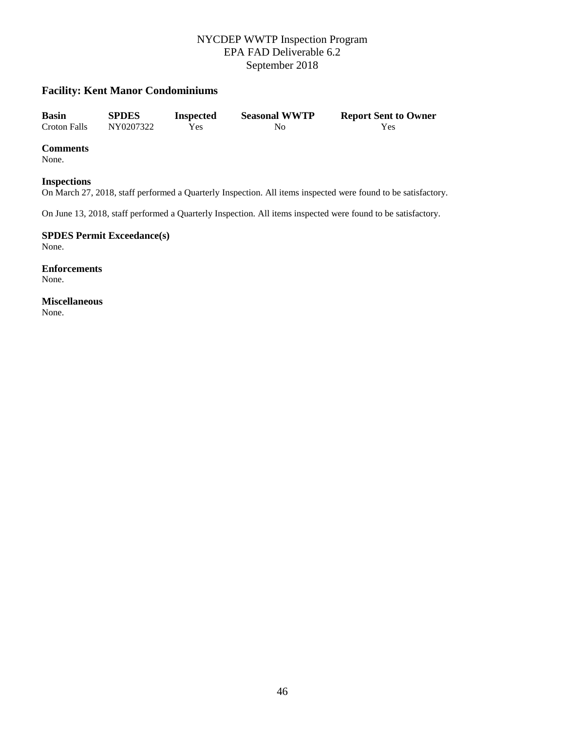## **Facility: Kent Manor Condominiums**

| <b>Basin</b> | <b>SPDES</b> | <b>Inspected</b> | <b>Seasonal WWTP</b> | <b>Report Sent to Owner</b> |
|--------------|--------------|------------------|----------------------|-----------------------------|
| Croton Falls | NY0207322    | Yes              | No                   | Yes                         |

#### **Comments**

None.

#### **Inspections**

On March 27, 2018, staff performed a Quarterly Inspection. All items inspected were found to be satisfactory.

On June 13, 2018, staff performed a Quarterly Inspection. All items inspected were found to be satisfactory.

**SPDES Permit Exceedance(s)** None.

**Enforcements** None.

**Miscellaneous**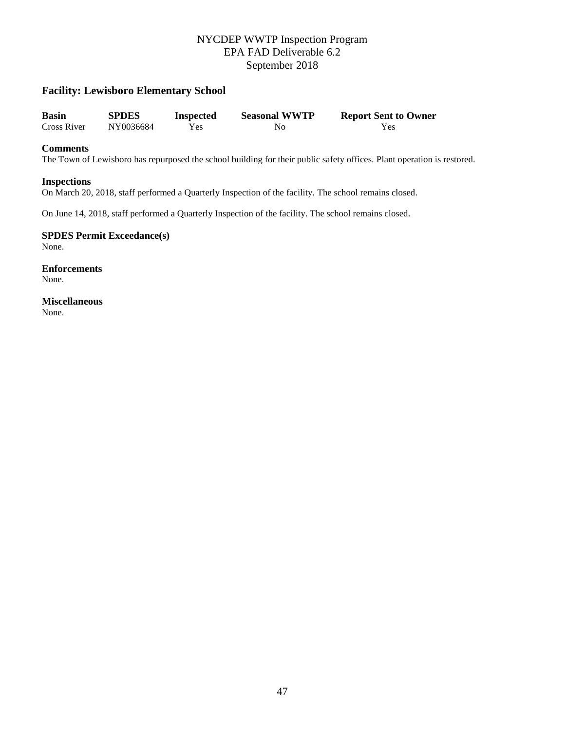## **Facility: Lewisboro Elementary School**

| <b>Basin</b> | <b>SPDES</b> | <b>Inspected</b> | <b>Seasonal WWTP</b> | <b>Report Sent to Owner</b> |
|--------------|--------------|------------------|----------------------|-----------------------------|
| Cross River  | NY0036684    | Yes              | No                   | Yes                         |

#### **Comments**

The Town of Lewisboro has repurposed the school building for their public safety offices. Plant operation is restored.

#### **Inspections**

On March 20, 2018, staff performed a Quarterly Inspection of the facility. The school remains closed.

On June 14, 2018, staff performed a Quarterly Inspection of the facility. The school remains closed.

**SPDES Permit Exceedance(s)** None.

**Enforcements** None.

**Miscellaneous**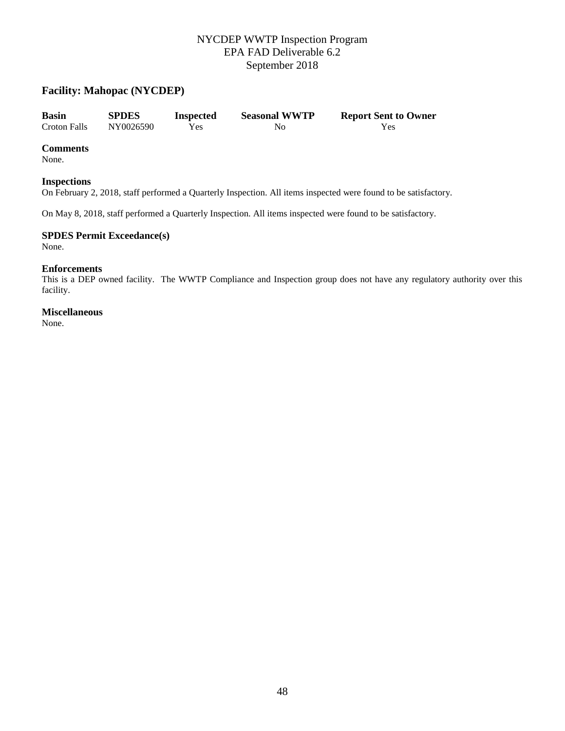## **Facility: Mahopac (NYCDEP)**

| <b>Basin</b>        | <b>SPDES</b> | <b>Inspected</b> | <b>Seasonal WWTP</b> | <b>Report Sent to Owner</b> |
|---------------------|--------------|------------------|----------------------|-----------------------------|
| <b>Croton Falls</b> | NY0026590    | Yes              | No                   | Yes                         |

#### **Comments**

None.

#### **Inspections**

On February 2, 2018, staff performed a Quarterly Inspection. All items inspected were found to be satisfactory.

On May 8, 2018, staff performed a Quarterly Inspection. All items inspected were found to be satisfactory.

## **SPDES Permit Exceedance(s)**

None.

## **Enforcements**

This is a DEP owned facility. The WWTP Compliance and Inspection group does not have any regulatory authority over this facility.

#### **Miscellaneous**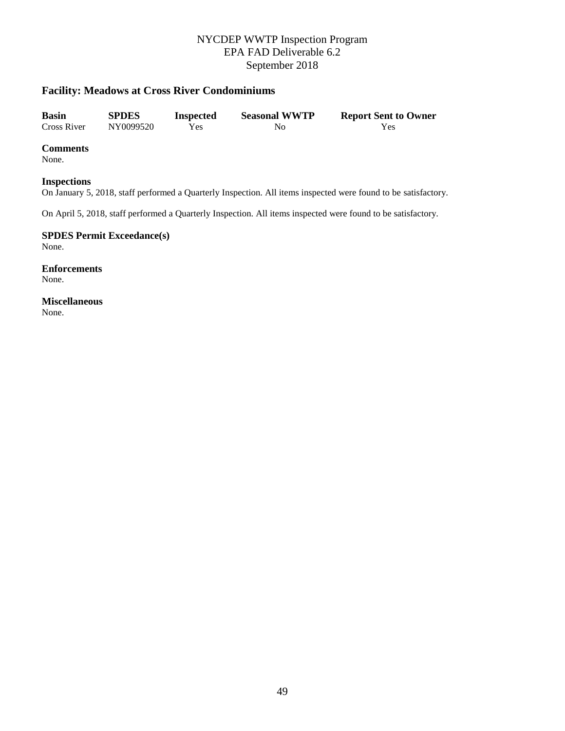## **Facility: Meadows at Cross River Condominiums**

| <b>Basin</b> | <b>SPDES</b> | <b>Inspected</b> | <b>Seasonal WWTP</b> | <b>Report Sent to Owner</b> |
|--------------|--------------|------------------|----------------------|-----------------------------|
| Cross River  | NY0099520    | Yes              | No                   | Yes                         |

#### **Comments**

None.

#### **Inspections**

On January 5, 2018, staff performed a Quarterly Inspection. All items inspected were found to be satisfactory.

On April 5, 2018, staff performed a Quarterly Inspection. All items inspected were found to be satisfactory.

**SPDES Permit Exceedance(s)** None.

**Enforcements** None.

**Miscellaneous**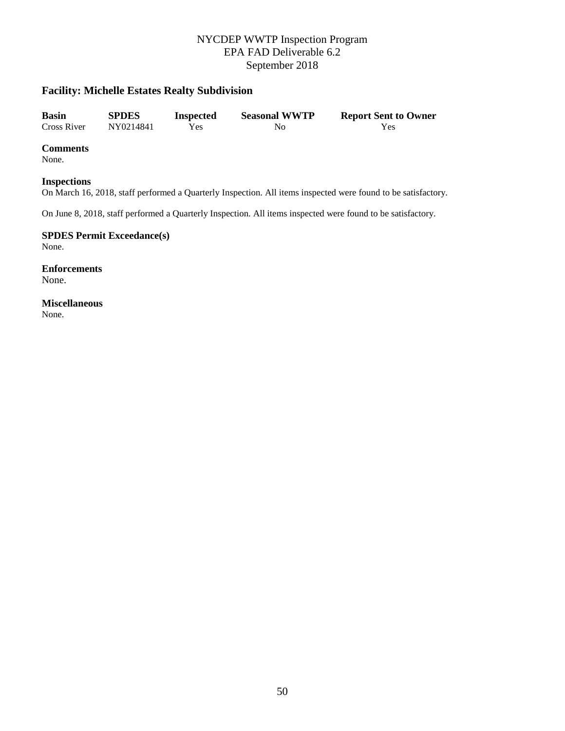## **Facility: Michelle Estates Realty Subdivision**

| <b>Basin</b> | <b>SPDES</b> | <b>Inspected</b> | <b>Seasonal WWTP</b> | <b>Report Sent to Owner</b> |
|--------------|--------------|------------------|----------------------|-----------------------------|
| Cross River  | NY0214841    | Yes              | No                   | Yes                         |

#### **Comments**

None.

#### **Inspections**

On March 16, 2018, staff performed a Quarterly Inspection. All items inspected were found to be satisfactory.

On June 8, 2018, staff performed a Quarterly Inspection. All items inspected were found to be satisfactory.

**SPDES Permit Exceedance(s)** None.

**Enforcements** None.

**Miscellaneous**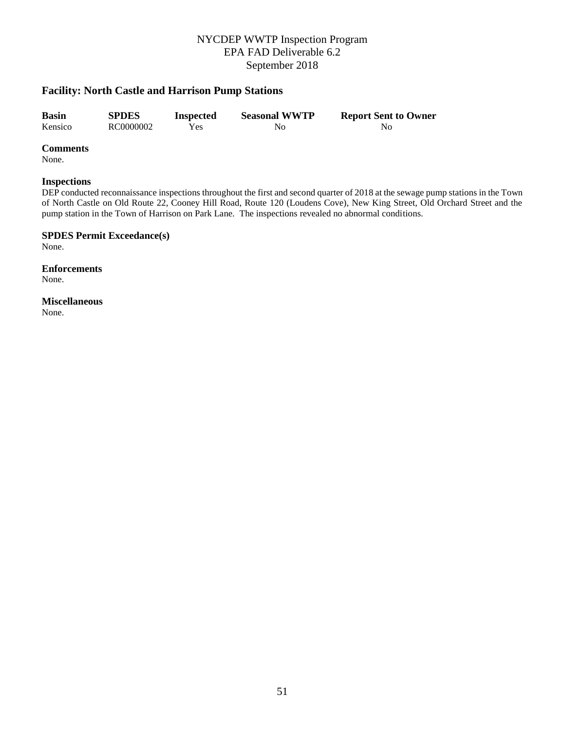## **Facility: North Castle and Harrison Pump Stations**

| <b>Basin</b> | <b>SPDES</b> | <b>Inspected</b> | <b>Seasonal WWTP</b> | <b>Report Sent to Owner</b> |
|--------------|--------------|------------------|----------------------|-----------------------------|
| Kensico      | RC0000002    | Yes              | No                   | No                          |

#### **Comments**

None.

#### **Inspections**

DEP conducted reconnaissance inspections throughout the first and second quarter of 2018 at the sewage pump stations in the Town of North Castle on Old Route 22, Cooney Hill Road, Route 120 (Loudens Cove), New King Street, Old Orchard Street and the pump station in the Town of Harrison on Park Lane. The inspections revealed no abnormal conditions.

#### **SPDES Permit Exceedance(s)**

None.

**Enforcements** None.

**Miscellaneous**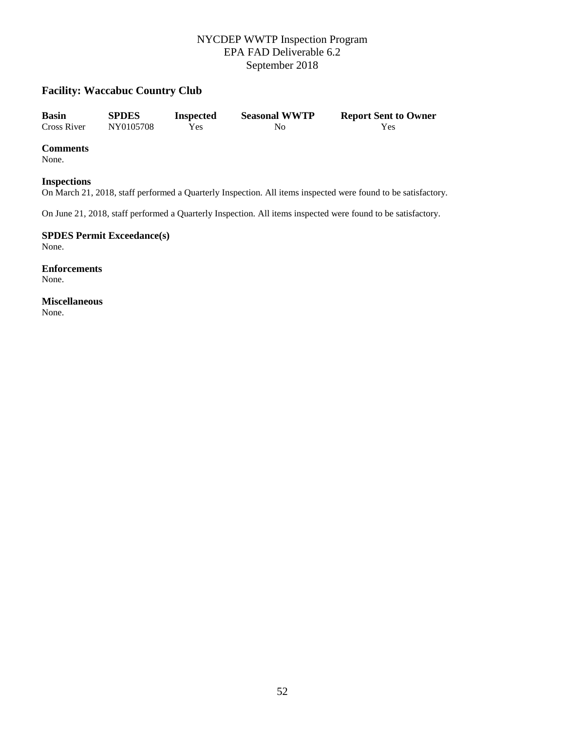## **Facility: Waccabuc Country Club**

| <b>Basin</b> | <b>SPDES</b> | <b>Inspected</b> | <b>Seasonal WWTP</b> | <b>Report Sent to Owner</b> |
|--------------|--------------|------------------|----------------------|-----------------------------|
| Cross River  | NY0105708    | Yes              | No                   | Yes                         |

#### **Comments**

None.

#### **Inspections**

On March 21, 2018, staff performed a Quarterly Inspection. All items inspected were found to be satisfactory.

On June 21, 2018, staff performed a Quarterly Inspection. All items inspected were found to be satisfactory.

**SPDES Permit Exceedance(s)** None.

**Enforcements** None.

**Miscellaneous**